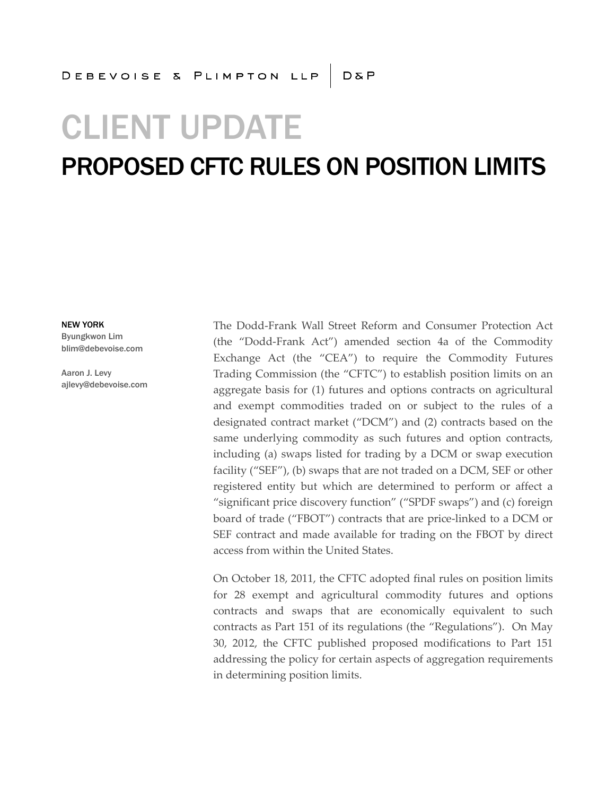# CLIENT UPDATE

## PROPOSED CFTC RULES ON POSITION LIMITS

NEW YORK Byungkwon Lim blim@debevoise.com

Aaron J. Levy ajlevy@debevoise.com The Dodd-Frank Wall Street Reform and Consumer Protection Act (the "Dodd-Frank Act") amended section 4a of the Commodity Exchange Act (the "CEA") to require the Commodity Futures Trading Commission (the "CFTC") to establish position limits on an aggregate basis for (1) futures and options contracts on agricultural and exempt commodities traded on or subject to the rules of a designated contract market ("DCM") and (2) contracts based on the same underlying commodity as such futures and option contracts, including (a) swaps listed for trading by a DCM or swap execution facility ("SEF"), (b) swaps that are not traded on a DCM, SEF or other registered entity but which are determined to perform or affect a "significant price discovery function" ("SPDF swaps") and (c) foreign board of trade ("FBOT") contracts that are price-linked to a DCM or SEF contract and made available for trading on the FBOT by direct access from within the United States.

On October 18, 2011, the CFTC adopted final rules on position limits for 28 exempt and agricultural commodity futures and options contracts and swaps that are economically equivalent to such contracts as Part 151 of its regulations (the "Regulations"). On May 30, 2012, the CFTC published proposed modifications to Part 151 addressing the policy for certain aspects of aggregation requirements in determining position limits.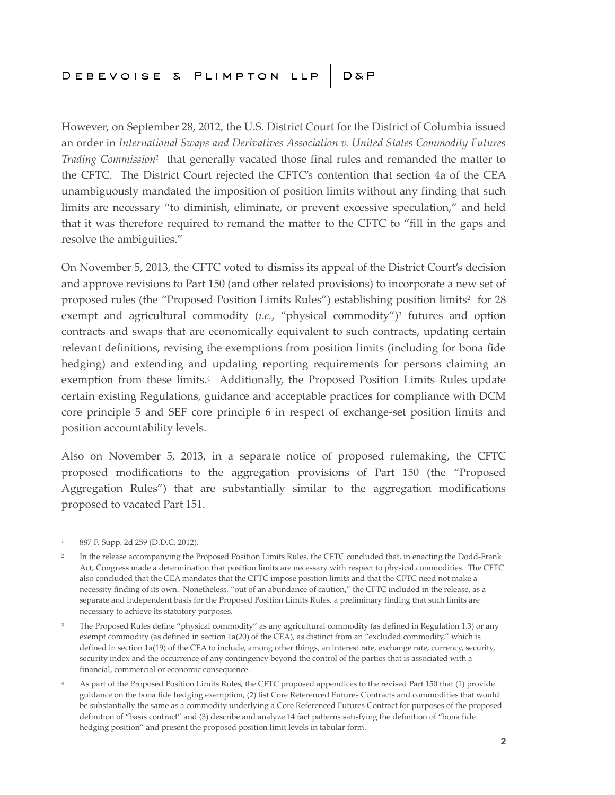However, on September 28, 2012, the U.S. District Court for the District of Columbia issued an order in *International Swaps and Derivatives Association v. United States Commodity Futures Trading Commission<sup>1</sup>* that generally vacated those final rules and remanded the matter to the CFTC. The District Court rejected the CFTC's contention that section 4a of the CEA unambiguously mandated the imposition of position limits without any finding that such limits are necessary "to diminish, eliminate, or prevent excessive speculation," and held that it was therefore required to remand the matter to the CFTC to "fill in the gaps and resolve the ambiguities."

On November 5, 2013, the CFTC voted to dismiss its appeal of the District Court's decision and approve revisions to Part 150 (and other related provisions) to incorporate a new set of proposed rules (the "Proposed Position Limits Rules") establishing position limits<sup>2</sup> for 28 exempt and agricultural commodity (*i.e.*, "physical commodity")<sup>3</sup> futures and option contracts and swaps that are economically equivalent to such contracts, updating certain relevant definitions, revising the exemptions from position limits (including for bona fide hedging) and extending and updating reporting requirements for persons claiming an exemption from these limits.<sup>4</sup> Additionally, the Proposed Position Limits Rules update certain existing Regulations, guidance and acceptable practices for compliance with DCM core principle 5 and SEF core principle 6 in respect of exchange-set position limits and position accountability levels.

Also on November 5, 2013, in a separate notice of proposed rulemaking, the CFTC proposed modifications to the aggregation provisions of Part 150 (the "Proposed Aggregation Rules") that are substantially similar to the aggregation modifications proposed to vacated Part 151.

<sup>1</sup> 887 F. Supp. 2d 259 (D.D.C. 2012).

<sup>2</sup> In the release accompanying the Proposed Position Limits Rules, the CFTC concluded that, in enacting the Dodd-Frank Act, Congress made a determination that position limits are necessary with respect to physical commodities. The CFTC also concluded that the CEA mandates that the CFTC impose position limits and that the CFTC need not make a necessity finding of its own. Nonetheless, "out of an abundance of caution," the CFTC included in the release, as a separate and independent basis for the Proposed Position Limits Rules, a preliminary finding that such limits are necessary to achieve its statutory purposes.

<sup>&</sup>lt;sup>3</sup> The Proposed Rules define "physical commodity" as any agricultural commodity (as defined in Regulation 1.3) or any exempt commodity (as defined in section 1a(20) of the CEA), as distinct from an "excluded commodity," which is defined in section 1a(19) of the CEA to include, among other things, an interest rate, exchange rate, currency, security, security index and the occurrence of any contingency beyond the control of the parties that is associated with a financial, commercial or economic consequence.

<sup>4</sup> As part of the Proposed Position Limits Rules, the CFTC proposed appendices to the revised Part 150 that (1) provide guidance on the bona fide hedging exemption, (2) list Core Referenced Futures Contracts and commodities that would be substantially the same as a commodity underlying a Core Referenced Futures Contract for purposes of the proposed definition of "basis contract" and (3) describe and analyze 14 fact patterns satisfying the definition of "bona fide hedging position" and present the proposed position limit levels in tabular form.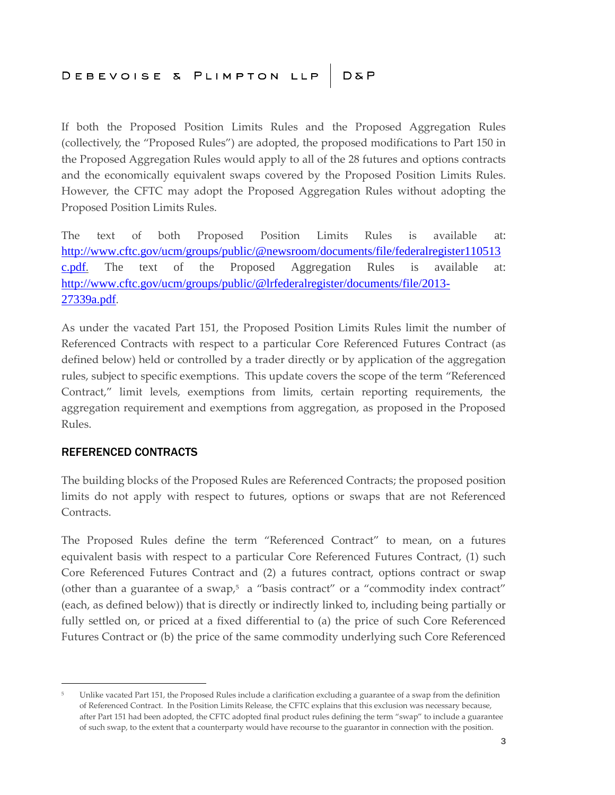If both the Proposed Position Limits Rules and the Proposed Aggregation Rules (collectively, the "Proposed Rules") are adopted, the proposed modifications to Part 150 in the Proposed Aggregation Rules would apply to all of the 28 futures and options contracts and the economically equivalent swaps covered by the Proposed Position Limits Rules. However, the CFTC may adopt the Proposed Aggregation Rules without adopting the Proposed Position Limits Rules.

The text of both Proposed Position Limits Rules is available at: [http://www.cftc.gov/ucm/groups/public/@newsroom/documents/file/federalregister110513](http://www.cftc.gov/ucm/groups/public/@newsroom/documents/file/federalregister110513c.pdf) [c.pdf](http://www.cftc.gov/ucm/groups/public/@newsroom/documents/file/federalregister110513c.pdf). The text of the Proposed Aggregation Rules is available at: [http://www.cftc.gov/ucm/groups/public/@lrfederalregister/documents/file/2013-](http://www.cftc.gov/ucm/groups/public/@lrfederalregister/documents/file/2013-27339a.pdf) 27339a.pdf.

As under the vacated Part 151, the Proposed Position Limits Rules limit the number of Referenced Contracts with respect to a particular Core Referenced Futures Contract (as defined below) held or controlled by a trader directly or by application of the aggregation rules, subject to specific exemptions. This update covers the scope of the term "Referenced Contract," limit levels, exemptions from limits, certain reporting requirements, the aggregation requirement and exemptions from aggregation, as proposed in the Proposed Rules.

#### REFERENCED CONTRACTS

The building blocks of the Proposed Rules are Referenced Contracts; the proposed position limits do not apply with respect to futures, options or swaps that are not Referenced Contracts.

The Proposed Rules define the term "Referenced Contract" to mean, on a futures equivalent basis with respect to a particular Core Referenced Futures Contract, (1) such Core Referenced Futures Contract and (2) a futures contract, options contract or swap (other than a guarantee of a swap, $5\alpha$  "basis contract" or a "commodity index contract" (each, as defined below)) that is directly or indirectly linked to, including being partially or fully settled on, or priced at a fixed differential to (a) the price of such Core Referenced Futures Contract or (b) the price of the same commodity underlying such Core Referenced

<sup>5</sup> Unlike vacated Part 151, the Proposed Rules include a clarification excluding a guarantee of a swap from the definition of Referenced Contract. In the Position Limits Release, the CFTC explains that this exclusion was necessary because, after Part 151 had been adopted, the CFTC adopted final product rules defining the term "swap" to include a guarantee of such swap, to the extent that a counterparty would have recourse to the guarantor in connection with the position.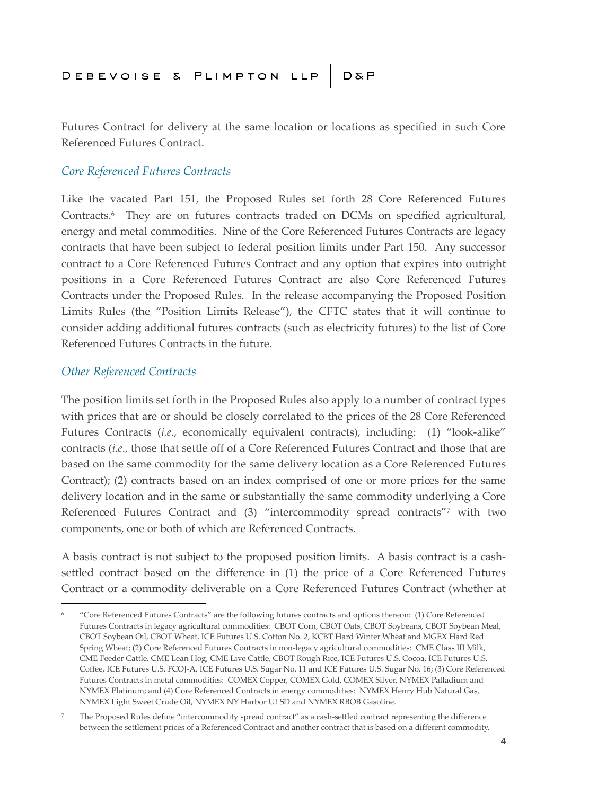Futures Contract for delivery at the same location or locations as specified in such Core Referenced Futures Contract.

#### *Core Referenced Futures Contracts*

Like the vacated Part 151, the Proposed Rules set forth 28 Core Referenced Futures Contracts.<sup>6</sup> They are on futures contracts traded on DCMs on specified agricultural, energy and metal commodities. Nine of the Core Referenced Futures Contracts are legacy contracts that have been subject to federal position limits under Part 150. Any successor contract to a Core Referenced Futures Contract and any option that expires into outright positions in a Core Referenced Futures Contract are also Core Referenced Futures Contracts under the Proposed Rules. In the release accompanying the Proposed Position Limits Rules (the "Position Limits Release"), the CFTC states that it will continue to consider adding additional futures contracts (such as electricity futures) to the list of Core Referenced Futures Contracts in the future.

#### *Other Referenced Contracts*

The position limits set forth in the Proposed Rules also apply to a number of contract types with prices that are or should be closely correlated to the prices of the 28 Core Referenced Futures Contracts (*i.e*., economically equivalent contracts), including: (1) "look-alike" contracts (*i.e*., those that settle off of a Core Referenced Futures Contract and those that are based on the same commodity for the same delivery location as a Core Referenced Futures Contract); (2) contracts based on an index comprised of one or more prices for the same delivery location and in the same or substantially the same commodity underlying a Core Referenced Futures Contract and (3) "intercommodity spread contracts"<sup>7</sup> with two components, one or both of which are Referenced Contracts.

A basis contract is not subject to the proposed position limits. A basis contract is a cashsettled contract based on the difference in (1) the price of a Core Referenced Futures Contract or a commodity deliverable on a Core Referenced Futures Contract (whether at

<sup>6</sup> "Core Referenced Futures Contracts" are the following futures contracts and options thereon: (1) Core Referenced Futures Contracts in legacy agricultural commodities: CBOT Corn, CBOT Oats, CBOT Soybeans, CBOT Soybean Meal, CBOT Soybean Oil, CBOT Wheat, ICE Futures U.S. Cotton No. 2, KCBT Hard Winter Wheat and MGEX Hard Red Spring Wheat; (2) Core Referenced Futures Contracts in non-legacy agricultural commodities: CME Class III Milk, CME Feeder Cattle, CME Lean Hog, CME Live Cattle, CBOT Rough Rice, ICE Futures U.S. Cocoa, ICE Futures U.S. Coffee, ICE Futures U.S. FCOJ-A, ICE Futures U.S. Sugar No. 11 and ICE Futures U.S. Sugar No. 16; (3) Core Referenced Futures Contracts in metal commodities: COMEX Copper, COMEX Gold, COMEX Silver, NYMEX Palladium and NYMEX Platinum; and (4) Core Referenced Contracts in energy commodities: NYMEX Henry Hub Natural Gas, NYMEX Light Sweet Crude Oil, NYMEX NY Harbor ULSD and NYMEX RBOB Gasoline.

<sup>7</sup> The Proposed Rules define "intercommodity spread contract" as a cash-settled contract representing the difference between the settlement prices of a Referenced Contract and another contract that is based on a different commodity.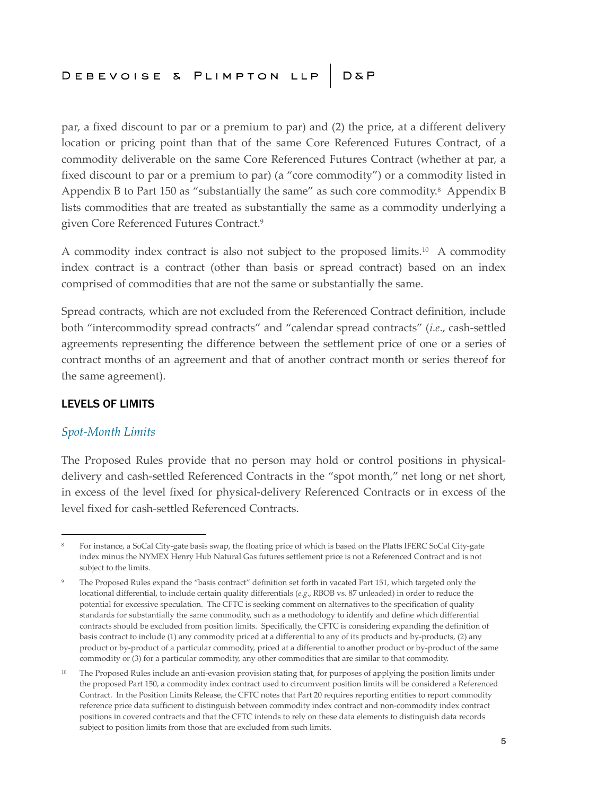par, a fixed discount to par or a premium to par) and (2) the price, at a different delivery location or pricing point than that of the same Core Referenced Futures Contract, of a commodity deliverable on the same Core Referenced Futures Contract (whether at par, a fixed discount to par or a premium to par) (a "core commodity") or a commodity listed in Appendix B to Part 150 as "substantially the same" as such core commodity.<sup>8</sup> Appendix B lists commodities that are treated as substantially the same as a commodity underlying a given Core Referenced Futures Contract.<sup>9</sup>

A commodity index contract is also not subject to the proposed limits.<sup>10</sup> A commodity index contract is a contract (other than basis or spread contract) based on an index comprised of commodities that are not the same or substantially the same.

Spread contracts, which are not excluded from the Referenced Contract definition, include both "intercommodity spread contracts" and "calendar spread contracts" (*i.e*., cash-settled agreements representing the difference between the settlement price of one or a series of contract months of an agreement and that of another contract month or series thereof for the same agreement).

#### LEVELS OF LIMITS

#### *Spot-Month Limits*

The Proposed Rules provide that no person may hold or control positions in physicaldelivery and cash-settled Referenced Contracts in the "spot month," net long or net short, in excess of the level fixed for physical-delivery Referenced Contracts or in excess of the level fixed for cash-settled Referenced Contracts.

<sup>8</sup> For instance, a SoCal City-gate basis swap, the floating price of which is based on the Platts IFERC SoCal City-gate index minus the NYMEX Henry Hub Natural Gas futures settlement price is not a Referenced Contract and is not subject to the limits.

The Proposed Rules expand the "basis contract" definition set forth in vacated Part 151, which targeted only the locational differential, to include certain quality differentials (*e.g*., RBOB vs. 87 unleaded) in order to reduce the potential for excessive speculation. The CFTC is seeking comment on alternatives to the specification of quality standards for substantially the same commodity, such as a methodology to identify and define which differential contracts should be excluded from position limits. Specifically, the CFTC is considering expanding the definition of basis contract to include (1) any commodity priced at a differential to any of its products and by-products, (2) any product or by-product of a particular commodity, priced at a differential to another product or by-product of the same commodity or (3) for a particular commodity, any other commodities that are similar to that commodity.

<sup>&</sup>lt;sup>10</sup> The Proposed Rules include an anti-evasion provision stating that, for purposes of applying the position limits under the proposed Part 150, a commodity index contract used to circumvent position limits will be considered a Referenced Contract. In the Position Limits Release, the CFTC notes that Part 20 requires reporting entities to report commodity reference price data sufficient to distinguish between commodity index contract and non-commodity index contract positions in covered contracts and that the CFTC intends to rely on these data elements to distinguish data records subject to position limits from those that are excluded from such limits.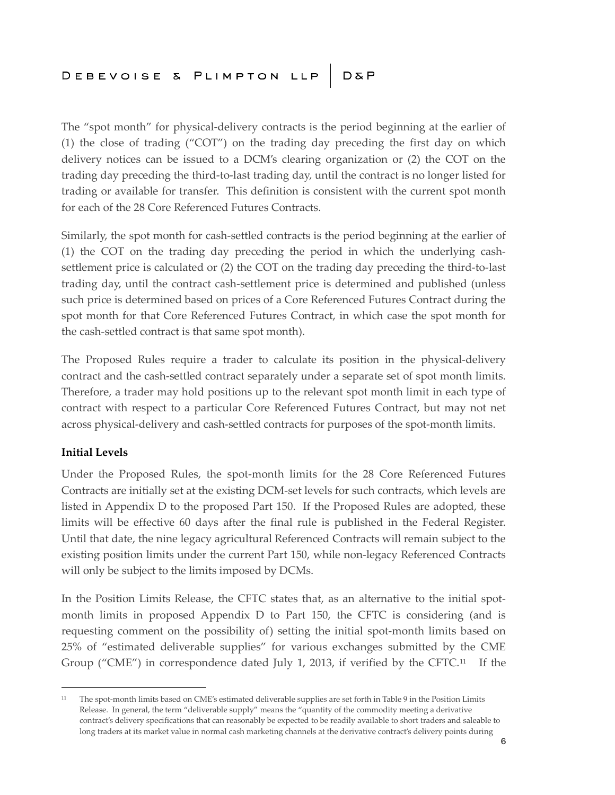The "spot month" for physical-delivery contracts is the period beginning at the earlier of (1) the close of trading ("COT") on the trading day preceding the first day on which delivery notices can be issued to a DCM's clearing organization or (2) the COT on the trading day preceding the third-to-last trading day, until the contract is no longer listed for trading or available for transfer. This definition is consistent with the current spot month for each of the 28 Core Referenced Futures Contracts.

Similarly, the spot month for cash-settled contracts is the period beginning at the earlier of (1) the COT on the trading day preceding the period in which the underlying cashsettlement price is calculated or (2) the COT on the trading day preceding the third-to-last trading day, until the contract cash-settlement price is determined and published (unless such price is determined based on prices of a Core Referenced Futures Contract during the spot month for that Core Referenced Futures Contract, in which case the spot month for the cash-settled contract is that same spot month).

The Proposed Rules require a trader to calculate its position in the physical-delivery contract and the cash-settled contract separately under a separate set of spot month limits. Therefore, a trader may hold positions up to the relevant spot month limit in each type of contract with respect to a particular Core Referenced Futures Contract, but may not net across physical-delivery and cash-settled contracts for purposes of the spot-month limits.

#### **Initial Levels**

Under the Proposed Rules, the spot-month limits for the 28 Core Referenced Futures Contracts are initially set at the existing DCM-set levels for such contracts, which levels are listed in Appendix D to the proposed Part 150. If the Proposed Rules are adopted, these limits will be effective 60 days after the final rule is published in the Federal Register. Until that date, the nine legacy agricultural Referenced Contracts will remain subject to the existing position limits under the current Part 150, while non-legacy Referenced Contracts will only be subject to the limits imposed by DCMs.

In the Position Limits Release, the CFTC states that, as an alternative to the initial spotmonth limits in proposed Appendix D to Part 150, the CFTC is considering (and is requesting comment on the possibility of) setting the initial spot-month limits based on 25% of "estimated deliverable supplies" for various exchanges submitted by the CME Group ("CME") in correspondence dated July 1, 2013, if verified by the CFTC. $11$  If the

<sup>11</sup> The spot-month limits based on CME's estimated deliverable supplies are set forth in Table 9 in the Position Limits Release. In general, the term "deliverable supply" means the "quantity of the commodity meeting a derivative contract's delivery specifications that can reasonably be expected to be readily available to short traders and saleable to long traders at its market value in normal cash marketing channels at the derivative contract's delivery points during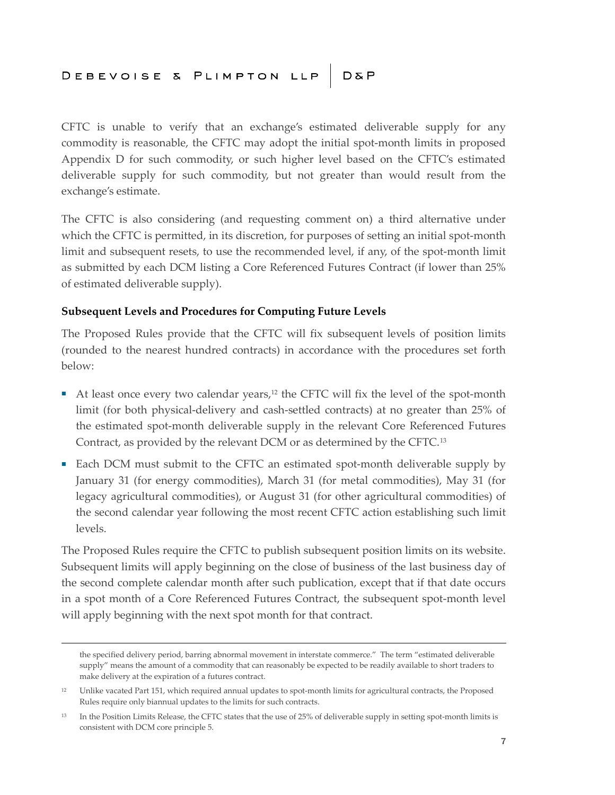CFTC is unable to verify that an exchange's estimated deliverable supply for any commodity is reasonable, the CFTC may adopt the initial spot-month limits in proposed Appendix D for such commodity, or such higher level based on the CFTC's estimated deliverable supply for such commodity, but not greater than would result from the exchange's estimate.

The CFTC is also considering (and requesting comment on) a third alternative under which the CFTC is permitted, in its discretion, for purposes of setting an initial spot-month limit and subsequent resets, to use the recommended level, if any, of the spot-month limit as submitted by each DCM listing a Core Referenced Futures Contract (if lower than 25% of estimated deliverable supply).

#### **Subsequent Levels and Procedures for Computing Future Levels**

The Proposed Rules provide that the CFTC will fix subsequent levels of position limits (rounded to the nearest hundred contracts) in accordance with the procedures set forth below:

- At least once every two calendar years,<sup>12</sup> the CFTC will fix the level of the spot-month limit (for both physical-delivery and cash-settled contracts) at no greater than 25% of the estimated spot-month deliverable supply in the relevant Core Referenced Futures Contract, as provided by the relevant DCM or as determined by the CFTC.<sup>13</sup>
- Each DCM must submit to the CFTC an estimated spot-month deliverable supply by January 31 (for energy commodities), March 31 (for metal commodities), May 31 (for legacy agricultural commodities), or August 31 (for other agricultural commodities) of the second calendar year following the most recent CFTC action establishing such limit levels.

The Proposed Rules require the CFTC to publish subsequent position limits on its website. Subsequent limits will apply beginning on the close of business of the last business day of the second complete calendar month after such publication, except that if that date occurs in a spot month of a Core Referenced Futures Contract, the subsequent spot-month level will apply beginning with the next spot month for that contract.

the specified delivery period, barring abnormal movement in interstate commerce." The term "estimated deliverable supply" means the amount of a commodity that can reasonably be expected to be readily available to short traders to make delivery at the expiration of a futures contract.

<sup>&</sup>lt;sup>12</sup> Unlike vacated Part 151, which required annual updates to spot-month limits for agricultural contracts, the Proposed Rules require only biannual updates to the limits for such contracts.

<sup>&</sup>lt;sup>13</sup> In the Position Limits Release, the CFTC states that the use of 25% of deliverable supply in setting spot-month limits is consistent with DCM core principle 5.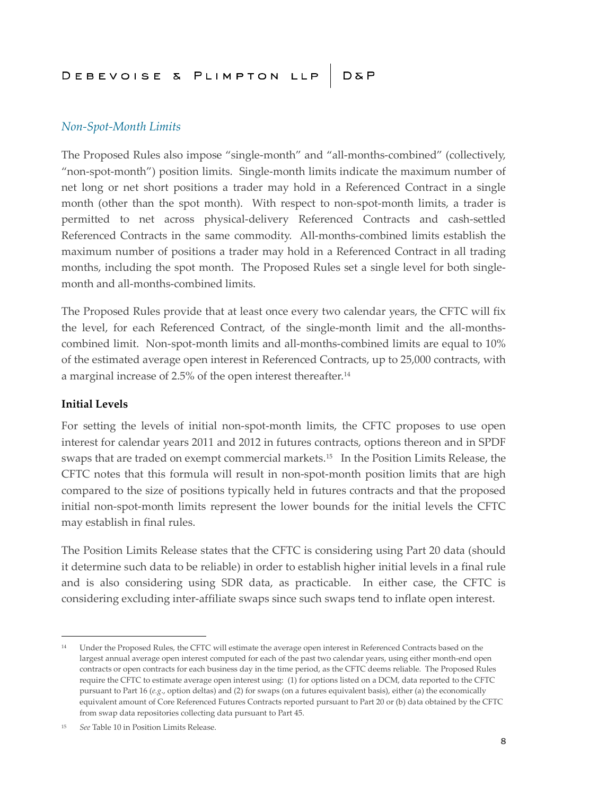#### *Non-Spot-Month Limits*

The Proposed Rules also impose "single-month" and "all-months-combined" (collectively, "non-spot-month") position limits. Single-month limits indicate the maximum number of net long or net short positions a trader may hold in a Referenced Contract in a single month (other than the spot month). With respect to non-spot-month limits, a trader is permitted to net across physical-delivery Referenced Contracts and cash-settled Referenced Contracts in the same commodity. All-months-combined limits establish the maximum number of positions a trader may hold in a Referenced Contract in all trading months, including the spot month. The Proposed Rules set a single level for both singlemonth and all-months-combined limits.

The Proposed Rules provide that at least once every two calendar years, the CFTC will fix the level, for each Referenced Contract, of the single-month limit and the all-monthscombined limit. Non-spot-month limits and all-months-combined limits are equal to 10% of the estimated average open interest in Referenced Contracts, up to 25,000 contracts, with a marginal increase of 2.5% of the open interest thereafter.<sup>14</sup>

#### **Initial Levels**

For setting the levels of initial non-spot-month limits, the CFTC proposes to use open interest for calendar years 2011 and 2012 in futures contracts, options thereon and in SPDF swaps that are traded on exempt commercial markets.<sup>15</sup> In the Position Limits Release, the CFTC notes that this formula will result in non-spot-month position limits that are high compared to the size of positions typically held in futures contracts and that the proposed initial non-spot-month limits represent the lower bounds for the initial levels the CFTC may establish in final rules.

The Position Limits Release states that the CFTC is considering using Part 20 data (should it determine such data to be reliable) in order to establish higher initial levels in a final rule and is also considering using SDR data, as practicable. In either case, the CFTC is considering excluding inter-affiliate swaps since such swaps tend to inflate open interest.

<sup>14</sup> Under the Proposed Rules, the CFTC will estimate the average open interest in Referenced Contracts based on the largest annual average open interest computed for each of the past two calendar years, using either month-end open contracts or open contracts for each business day in the time period, as the CFTC deems reliable. The Proposed Rules require the CFTC to estimate average open interest using: (1) for options listed on a DCM, data reported to the CFTC pursuant to Part 16 (*e.g*., option deltas) and (2) for swaps (on a futures equivalent basis), either (a) the economically equivalent amount of Core Referenced Futures Contracts reported pursuant to Part 20 or (b) data obtained by the CFTC from swap data repositories collecting data pursuant to Part 45.

<sup>15</sup> *See* Table 10 in Position Limits Release.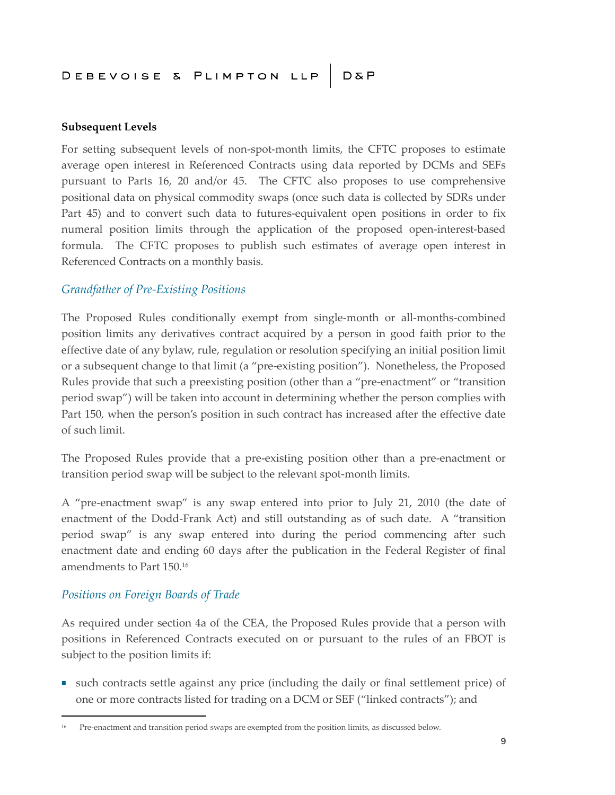#### **Subsequent Levels**

For setting subsequent levels of non-spot-month limits, the CFTC proposes to estimate average open interest in Referenced Contracts using data reported by DCMs and SEFs pursuant to Parts 16, 20 and/or 45. The CFTC also proposes to use comprehensive positional data on physical commodity swaps (once such data is collected by SDRs under Part 45) and to convert such data to futures-equivalent open positions in order to fix numeral position limits through the application of the proposed open-interest-based formula. The CFTC proposes to publish such estimates of average open interest in Referenced Contracts on a monthly basis.

#### *Grandfather of Pre-Existing Positions*

The Proposed Rules conditionally exempt from single-month or all-months-combined position limits any derivatives contract acquired by a person in good faith prior to the effective date of any bylaw, rule, regulation or resolution specifying an initial position limit or a subsequent change to that limit (a "pre-existing position"). Nonetheless, the Proposed Rules provide that such a preexisting position (other than a "pre-enactment" or "transition period swap") will be taken into account in determining whether the person complies with Part 150, when the person's position in such contract has increased after the effective date of such limit.

The Proposed Rules provide that a pre-existing position other than a pre-enactment or transition period swap will be subject to the relevant spot-month limits.

A "pre-enactment swap" is any swap entered into prior to July 21, 2010 (the date of enactment of the Dodd-Frank Act) and still outstanding as of such date. A "transition period swap" is any swap entered into during the period commencing after such enactment date and ending 60 days after the publication in the Federal Register of final amendments to Part 150.<sup>16</sup>

#### *Positions on Foreign Boards of Trade*

As required under section 4a of the CEA, the Proposed Rules provide that a person with positions in Referenced Contracts executed on or pursuant to the rules of an FBOT is subject to the position limits if:

■ such contracts settle against any price (including the daily or final settlement price) of one or more contracts listed for trading on a DCM or SEF ("linked contracts"); and

<sup>16</sup> Pre-enactment and transition period swaps are exempted from the position limits, as discussed below.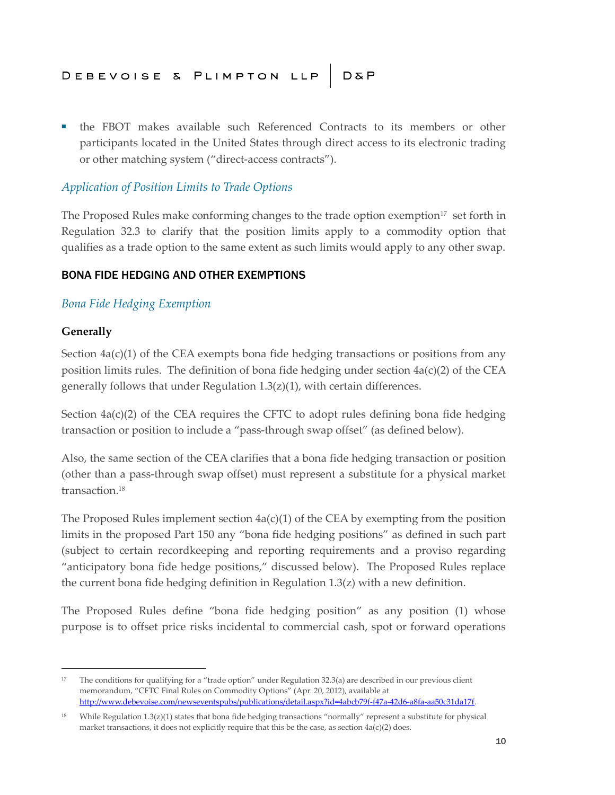■ the FBOT makes available such Referenced Contracts to its members or other participants located in the United States through direct access to its electronic trading or other matching system ("direct-access contracts").

#### *Application of Position Limits to Trade Options*

The Proposed Rules make conforming changes to the trade option exemption $17$  set forth in Regulation 32.3 to clarify that the position limits apply to a commodity option that qualifies as a trade option to the same extent as such limits would apply to any other swap.

#### BONA FIDE HEDGING AND OTHER EXEMPTIONS

#### *Bona Fide Hedging Exemption*

#### **Generally**

Section  $4a(c)(1)$  of the CEA exempts bona fide hedging transactions or positions from any position limits rules. The definition of bona fide hedging under section  $4a(c)(2)$  of the CEA generally follows that under Regulation 1.3(z)(1), with certain differences.

Section  $4a(c)(2)$  of the CEA requires the CFTC to adopt rules defining bona fide hedging transaction or position to include a "pass-through swap offset" (as defined below).

Also, the same section of the CEA clarifies that a bona fide hedging transaction or position (other than a pass-through swap offset) must represent a substitute for a physical market transaction.<sup>18</sup>

The Proposed Rules implement section  $4a(c)(1)$  of the CEA by exempting from the position limits in the proposed Part 150 any "bona fide hedging positions" as defined in such part (subject to certain recordkeeping and reporting requirements and a proviso regarding "anticipatory bona fide hedge positions," discussed below). The Proposed Rules replace the current bona fide hedging definition in Regulation  $1.3(z)$  with a new definition.

The Proposed Rules define "bona fide hedging position" as any position (1) whose purpose is to offset price risks incidental to commercial cash, spot or forward operations

<sup>&</sup>lt;sup>17</sup> The conditions for qualifying for a "trade option" under Regulation 32.3(a) are described in our previous client memorandum, "CFTC Final Rules on Commodity Options" (Apr. 20, 2012), available at [http://www.debevoise.com/newseventspubs/publications/detail.aspx?id=4abcb79f-f47a-42d6-a8fa-aa50c31da17f.](http://www.debevoise.com/newseventspubs/publications/detail.aspx?id=4abcb79f-f47a-42d6-a8fa-aa50c31da17f)

<sup>&</sup>lt;sup>18</sup> While Regulation  $1.3(z)(1)$  states that bona fide hedging transactions "normally" represent a substitute for physical market transactions, it does not explicitly require that this be the case, as section  $4a(c)(2)$  does.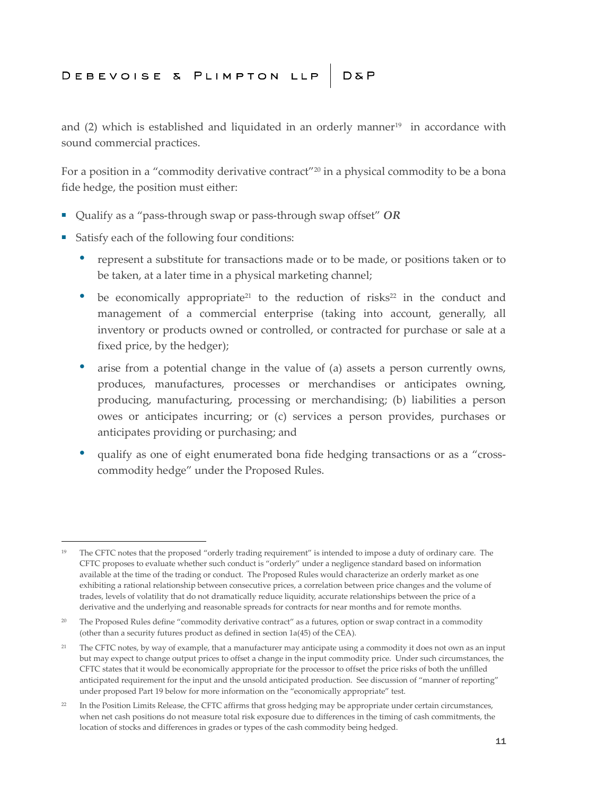and  $(2)$  which is established and liquidated in an orderly manner<sup>19</sup> in accordance with sound commercial practices.

For a position in a "commodity derivative contract"<sup>20</sup> in a physical commodity to be a bona fide hedge, the position must either:

- Qualify as a "pass-through swap or pass-through swap offset" *OR*
- Satisfy each of the following four conditions:
	- represent a substitute for transactions made or to be made, or positions taken or to be taken, at a later time in a physical marketing channel;
	- be economically appropriate<sup>21</sup> to the reduction of risks<sup>22</sup> in the conduct and management of a commercial enterprise (taking into account, generally, all inventory or products owned or controlled, or contracted for purchase or sale at a fixed price, by the hedger);
	- arise from a potential change in the value of (a) assets a person currently owns, produces, manufactures, processes or merchandises or anticipates owning, producing, manufacturing, processing or merchandising; (b) liabilities a person owes or anticipates incurring; or (c) services a person provides, purchases or anticipates providing or purchasing; and
	- qualify as one of eight enumerated bona fide hedging transactions or as a "crosscommodity hedge" under the Proposed Rules.

<sup>&</sup>lt;sup>19</sup> The CFTC notes that the proposed "orderly trading requirement" is intended to impose a duty of ordinary care. The CFTC proposes to evaluate whether such conduct is "orderly" under a negligence standard based on information available at the time of the trading or conduct. The Proposed Rules would characterize an orderly market as one exhibiting a rational relationship between consecutive prices, a correlation between price changes and the volume of trades, levels of volatility that do not dramatically reduce liquidity, accurate relationships between the price of a derivative and the underlying and reasonable spreads for contracts for near months and for remote months.

<sup>&</sup>lt;sup>20</sup> The Proposed Rules define "commodity derivative contract" as a futures, option or swap contract in a commodity (other than a security futures product as defined in section 1a(45) of the CEA).

<sup>&</sup>lt;sup>21</sup> The CFTC notes, by way of example, that a manufacturer may anticipate using a commodity it does not own as an input but may expect to change output prices to offset a change in the input commodity price. Under such circumstances, the CFTC states that it would be economically appropriate for the processor to offset the price risks of both the unfilled anticipated requirement for the input and the unsold anticipated production. See discussion of "manner of reporting" under proposed Part 19 below for more information on the "economically appropriate" test.

<sup>&</sup>lt;sup>22</sup> In the Position Limits Release, the CFTC affirms that gross hedging may be appropriate under certain circumstances, when net cash positions do not measure total risk exposure due to differences in the timing of cash commitments, the location of stocks and differences in grades or types of the cash commodity being hedged.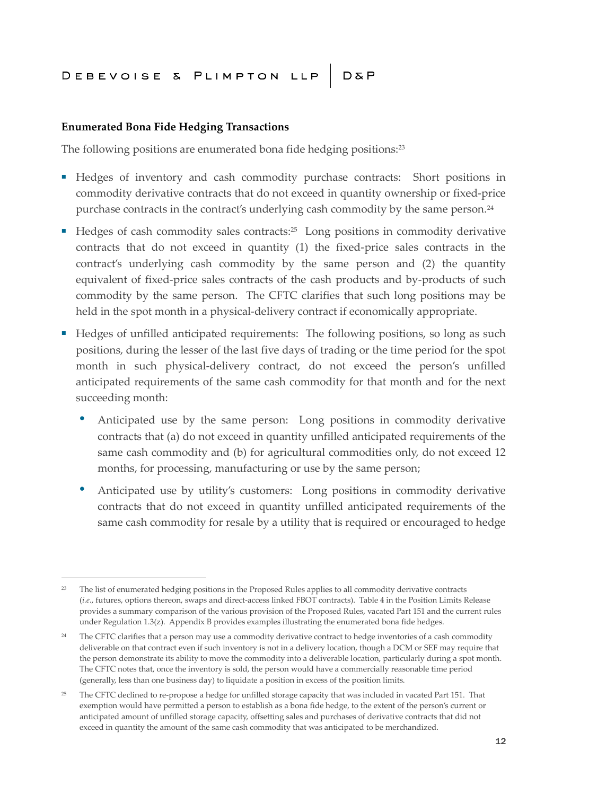#### **Enumerated Bona Fide Hedging Transactions**

The following positions are enumerated bona fide hedging positions:<sup>23</sup>

- Hedges of inventory and cash commodity purchase contracts: Short positions in commodity derivative contracts that do not exceed in quantity ownership or fixed-price purchase contracts in the contract's underlying cash commodity by the same person.<sup>24</sup>
- Hedges of cash commodity sales contracts:<sup>25</sup> Long positions in commodity derivative contracts that do not exceed in quantity (1) the fixed-price sales contracts in the contract's underlying cash commodity by the same person and (2) the quantity equivalent of fixed-price sales contracts of the cash products and by-products of such commodity by the same person. The CFTC clarifies that such long positions may be held in the spot month in a physical-delivery contract if economically appropriate.
- Hedges of unfilled anticipated requirements: The following positions, so long as such positions, during the lesser of the last five days of trading or the time period for the spot month in such physical-delivery contract, do not exceed the person's unfilled anticipated requirements of the same cash commodity for that month and for the next succeeding month:
	- Anticipated use by the same person: Long positions in commodity derivative contracts that (a) do not exceed in quantity unfilled anticipated requirements of the same cash commodity and (b) for agricultural commodities only, do not exceed 12 months, for processing, manufacturing or use by the same person;
	- Anticipated use by utility's customers: Long positions in commodity derivative contracts that do not exceed in quantity unfilled anticipated requirements of the same cash commodity for resale by a utility that is required or encouraged to hedge

<sup>&</sup>lt;sup>23</sup> The list of enumerated hedging positions in the Proposed Rules applies to all commodity derivative contracts (*i.e*., futures, options thereon, swaps and direct-access linked FBOT contracts). Table 4 in the Position Limits Release provides a summary comparison of the various provision of the Proposed Rules, vacated Part 151 and the current rules under Regulation 1.3(z). Appendix B provides examples illustrating the enumerated bona fide hedges.

<sup>&</sup>lt;sup>24</sup> The CFTC clarifies that a person may use a commodity derivative contract to hedge inventories of a cash commodity deliverable on that contract even if such inventory is not in a delivery location, though a DCM or SEF may require that the person demonstrate its ability to move the commodity into a deliverable location, particularly during a spot month. The CFTC notes that, once the inventory is sold, the person would have a commercially reasonable time period (generally, less than one business day) to liquidate a position in excess of the position limits.

<sup>25</sup> The CFTC declined to re-propose a hedge for unfilled storage capacity that was included in vacated Part 151. That exemption would have permitted a person to establish as a bona fide hedge, to the extent of the person's current or anticipated amount of unfilled storage capacity, offsetting sales and purchases of derivative contracts that did not exceed in quantity the amount of the same cash commodity that was anticipated to be merchandized.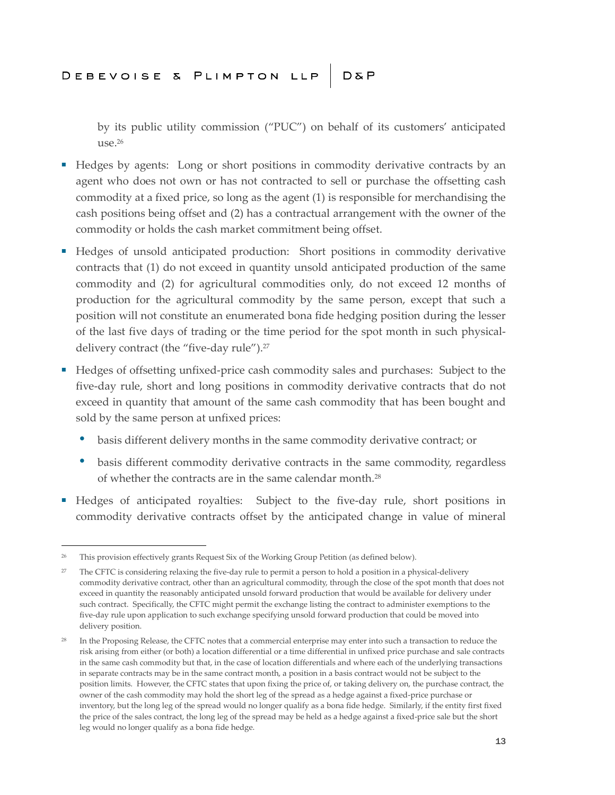by its public utility commission ("PUC") on behalf of its customers' anticipated use.<sup>26</sup>

- Hedges by agents: Long or short positions in commodity derivative contracts by an agent who does not own or has not contracted to sell or purchase the offsetting cash commodity at a fixed price, so long as the agent (1) is responsible for merchandising the cash positions being offset and (2) has a contractual arrangement with the owner of the commodity or holds the cash market commitment being offset.
- Hedges of unsold anticipated production: Short positions in commodity derivative contracts that (1) do not exceed in quantity unsold anticipated production of the same commodity and (2) for agricultural commodities only, do not exceed 12 months of production for the agricultural commodity by the same person, except that such a position will not constitute an enumerated bona fide hedging position during the lesser of the last five days of trading or the time period for the spot month in such physicaldelivery contract (the "five-day rule").<sup>27</sup>
- Hedges of offsetting unfixed-price cash commodity sales and purchases: Subject to the five-day rule, short and long positions in commodity derivative contracts that do not exceed in quantity that amount of the same cash commodity that has been bought and sold by the same person at unfixed prices:
	- basis different delivery months in the same commodity derivative contract; or
	- basis different commodity derivative contracts in the same commodity, regardless of whether the contracts are in the same calendar month.<sup>28</sup>
- Hedges of anticipated royalties: Subject to the five-day rule, short positions in commodity derivative contracts offset by the anticipated change in value of mineral

<sup>&</sup>lt;sup>26</sup> This provision effectively grants Request Six of the Working Group Petition (as defined below).

<sup>&</sup>lt;sup>27</sup> The CFTC is considering relaxing the five-day rule to permit a person to hold a position in a physical-delivery commodity derivative contract, other than an agricultural commodity, through the close of the spot month that does not exceed in quantity the reasonably anticipated unsold forward production that would be available for delivery under such contract. Specifically, the CFTC might permit the exchange listing the contract to administer exemptions to the five-day rule upon application to such exchange specifying unsold forward production that could be moved into delivery position.

<sup>&</sup>lt;sup>28</sup> In the Proposing Release, the CFTC notes that a commercial enterprise may enter into such a transaction to reduce the risk arising from either (or both) a location differential or a time differential in unfixed price purchase and sale contracts in the same cash commodity but that, in the case of location differentials and where each of the underlying transactions in separate contracts may be in the same contract month, a position in a basis contract would not be subject to the position limits. However, the CFTC states that upon fixing the price of, or taking delivery on, the purchase contract, the owner of the cash commodity may hold the short leg of the spread as a hedge against a fixed-price purchase or inventory, but the long leg of the spread would no longer qualify as a bona fide hedge. Similarly, if the entity first fixed the price of the sales contract, the long leg of the spread may be held as a hedge against a fixed-price sale but the short leg would no longer qualify as a bona fide hedge.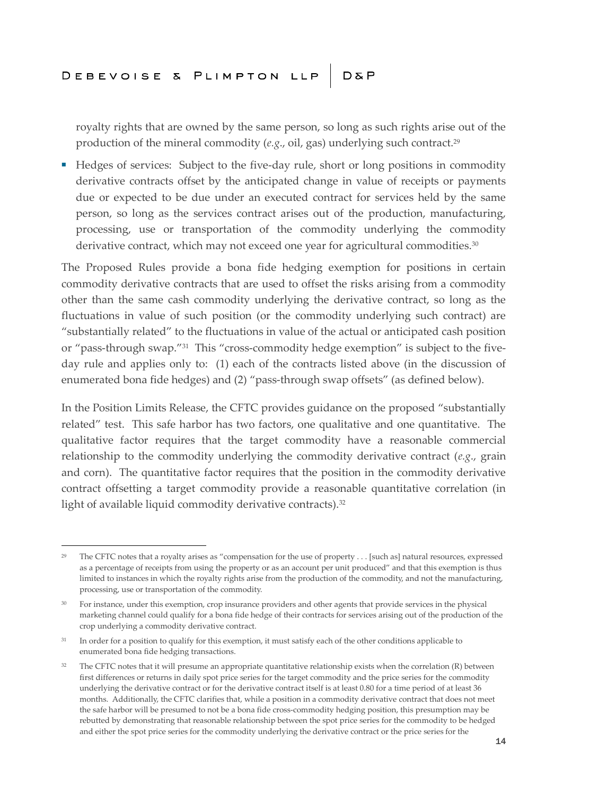royalty rights that are owned by the same person, so long as such rights arise out of the production of the mineral commodity (e.g., oil, gas) underlying such contract.<sup>29</sup>

■ Hedges of services: Subject to the five-day rule, short or long positions in commodity derivative contracts offset by the anticipated change in value of receipts or payments due or expected to be due under an executed contract for services held by the same person, so long as the services contract arises out of the production, manufacturing, processing, use or transportation of the commodity underlying the commodity derivative contract, which may not exceed one year for agricultural commodities.<sup>30</sup>

The Proposed Rules provide a bona fide hedging exemption for positions in certain commodity derivative contracts that are used to offset the risks arising from a commodity other than the same cash commodity underlying the derivative contract, so long as the fluctuations in value of such position (or the commodity underlying such contract) are "substantially related" to the fluctuations in value of the actual or anticipated cash position or "pass-through swap."<sup>31</sup> This "cross-commodity hedge exemption" is subject to the fiveday rule and applies only to: (1) each of the contracts listed above (in the discussion of enumerated bona fide hedges) and (2) "pass-through swap offsets" (as defined below).

In the Position Limits Release, the CFTC provides guidance on the proposed "substantially related" test. This safe harbor has two factors, one qualitative and one quantitative. The qualitative factor requires that the target commodity have a reasonable commercial relationship to the commodity underlying the commodity derivative contract (*e.g*., grain and corn). The quantitative factor requires that the position in the commodity derivative contract offsetting a target commodity provide a reasonable quantitative correlation (in light of available liquid commodity derivative contracts).<sup>32</sup>

<sup>&</sup>lt;sup>29</sup> The CFTC notes that a royalty arises as "compensation for the use of property . . . [such as] natural resources, expressed as a percentage of receipts from using the property or as an account per unit produced" and that this exemption is thus limited to instances in which the royalty rights arise from the production of the commodity, and not the manufacturing, processing, use or transportation of the commodity.

<sup>&</sup>lt;sup>30</sup> For instance, under this exemption, crop insurance providers and other agents that provide services in the physical marketing channel could qualify for a bona fide hedge of their contracts for services arising out of the production of the crop underlying a commodity derivative contract.

<sup>&</sup>lt;sup>31</sup> In order for a position to qualify for this exemption, it must satisfy each of the other conditions applicable to enumerated bona fide hedging transactions.

 $32$  The CFTC notes that it will presume an appropriate quantitative relationship exists when the correlation (R) between first differences or returns in daily spot price series for the target commodity and the price series for the commodity underlying the derivative contract or for the derivative contract itself is at least 0.80 for a time period of at least 36 months. Additionally, the CFTC clarifies that, while a position in a commodity derivative contract that does not meet the safe harbor will be presumed to not be a bona fide cross-commodity hedging position, this presumption may be rebutted by demonstrating that reasonable relationship between the spot price series for the commodity to be hedged and either the spot price series for the commodity underlying the derivative contract or the price series for the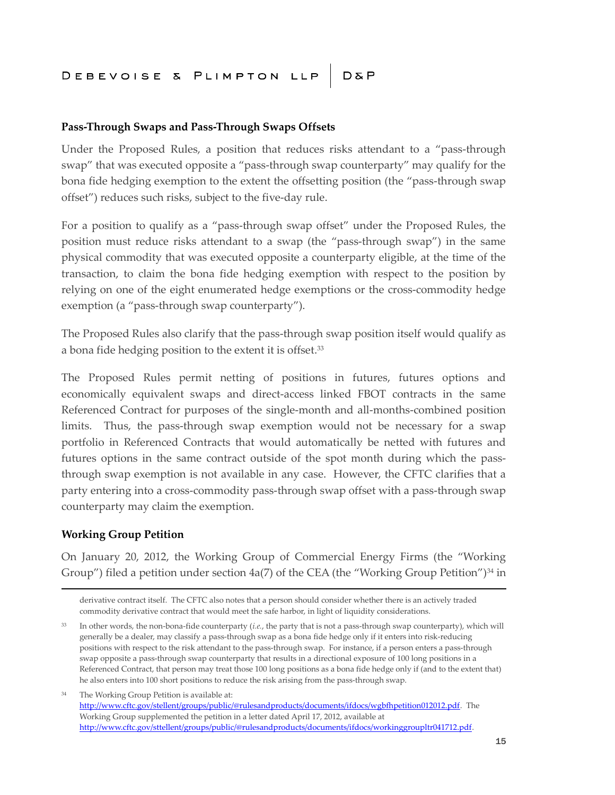#### **Pass-Through Swaps and Pass-Through Swaps Offsets**

Under the Proposed Rules, a position that reduces risks attendant to a "pass-through swap" that was executed opposite a "pass-through swap counterparty" may qualify for the bona fide hedging exemption to the extent the offsetting position (the "pass-through swap offset") reduces such risks, subject to the five-day rule.

For a position to qualify as a "pass-through swap offset" under the Proposed Rules, the position must reduce risks attendant to a swap (the "pass-through swap") in the same physical commodity that was executed opposite a counterparty eligible, at the time of the transaction, to claim the bona fide hedging exemption with respect to the position by relying on one of the eight enumerated hedge exemptions or the cross-commodity hedge exemption (a "pass-through swap counterparty").

The Proposed Rules also clarify that the pass-through swap position itself would qualify as a bona fide hedging position to the extent it is offset.<sup>33</sup>

The Proposed Rules permit netting of positions in futures, futures options and economically equivalent swaps and direct-access linked FBOT contracts in the same Referenced Contract for purposes of the single-month and all-months-combined position limits. Thus, the pass-through swap exemption would not be necessary for a swap portfolio in Referenced Contracts that would automatically be netted with futures and futures options in the same contract outside of the spot month during which the passthrough swap exemption is not available in any case. However, the CFTC clarifies that a party entering into a cross-commodity pass-through swap offset with a pass-through swap counterparty may claim the exemption.

#### **Working Group Petition**

On January 20, 2012, the Working Group of Commercial Energy Firms (the "Working Group") filed a petition under section  $4a(7)$  of the CEA (the "Working Group Petition")<sup>34</sup> in

<sup>34</sup> The Working Group Petition is available at: [http://www.cftc.gov/stellent/groups/public/@rulesandproducts/documents/ifdocs/wgbfhpetition012012.pdf.](http://www.cftc.gov/stellent/groups/public/@rulesandproducts/documents/ifdocs/wgbfhpetition012012.pdf) The Working Group supplemented the petition in a letter dated April 17, 2012, available at <http://www.cftc.gov/sttellent/groups/public/@rulesandproducts/documents/ifdocs/workinggroupltr041712.pdf>.

derivative contract itself. The CFTC also notes that a person should consider whether there is an actively traded commodity derivative contract that would meet the safe harbor, in light of liquidity considerations.

<sup>33</sup> In other words, the non-bona-fide counterparty (*i.e.*, the party that is not a pass-through swap counterparty), which will generally be a dealer, may classify a pass-through swap as a bona fide hedge only if it enters into risk-reducing positions with respect to the risk attendant to the pass-through swap. For instance, if a person enters a pass-through swap opposite a pass-through swap counterparty that results in a directional exposure of 100 long positions in a Referenced Contract, that person may treat those 100 long positions as a bona fide hedge only if (and to the extent that) he also enters into 100 short positions to reduce the risk arising from the pass-through swap.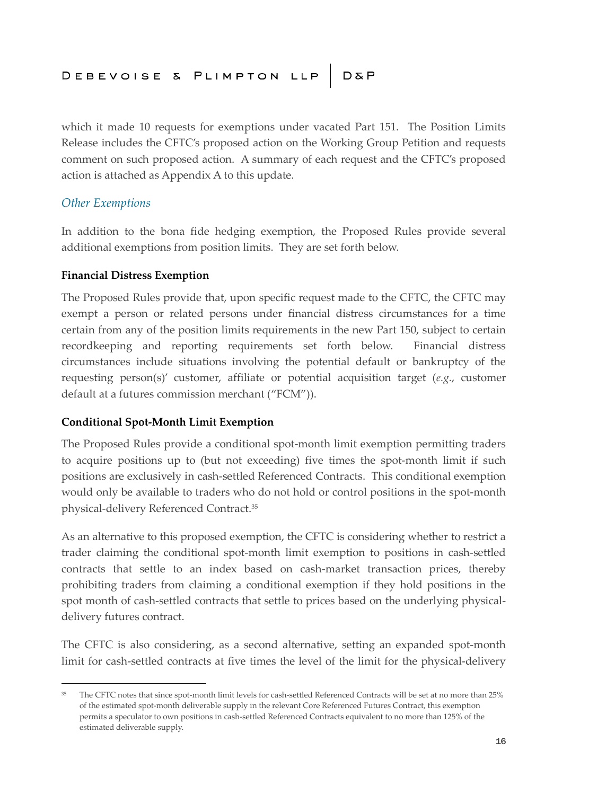which it made 10 requests for exemptions under vacated Part 151. The Position Limits Release includes the CFTC's proposed action on the Working Group Petition and requests comment on such proposed action. A summary of each request and the CFTC's proposed action is attached as Appendix A to this update.

#### *Other Exemptions*

In addition to the bona fide hedging exemption, the Proposed Rules provide several additional exemptions from position limits. They are set forth below.

#### **Financial Distress Exemption**

The Proposed Rules provide that, upon specific request made to the CFTC, the CFTC may exempt a person or related persons under financial distress circumstances for a time certain from any of the position limits requirements in the new Part 150, subject to certain recordkeeping and reporting requirements set forth below. Financial distress circumstances include situations involving the potential default or bankruptcy of the requesting person(s)' customer, affiliate or potential acquisition target (*e.g.*, customer default at a futures commission merchant ("FCM")).

#### **Conditional Spot-Month Limit Exemption**

The Proposed Rules provide a conditional spot-month limit exemption permitting traders to acquire positions up to (but not exceeding) five times the spot-month limit if such positions are exclusively in cash-settled Referenced Contracts. This conditional exemption would only be available to traders who do not hold or control positions in the spot-month physical-delivery Referenced Contract.<sup>35</sup>

As an alternative to this proposed exemption, the CFTC is considering whether to restrict a trader claiming the conditional spot-month limit exemption to positions in cash-settled contracts that settle to an index based on cash-market transaction prices, thereby prohibiting traders from claiming a conditional exemption if they hold positions in the spot month of cash-settled contracts that settle to prices based on the underlying physicaldelivery futures contract.

The CFTC is also considering, as a second alternative, setting an expanded spot-month limit for cash-settled contracts at five times the level of the limit for the physical-delivery

<sup>&</sup>lt;sup>35</sup> The CFTC notes that since spot-month limit levels for cash-settled Referenced Contracts will be set at no more than 25% of the estimated spot-month deliverable supply in the relevant Core Referenced Futures Contract, this exemption permits a speculator to own positions in cash-settled Referenced Contracts equivalent to no more than 125% of the estimated deliverable supply.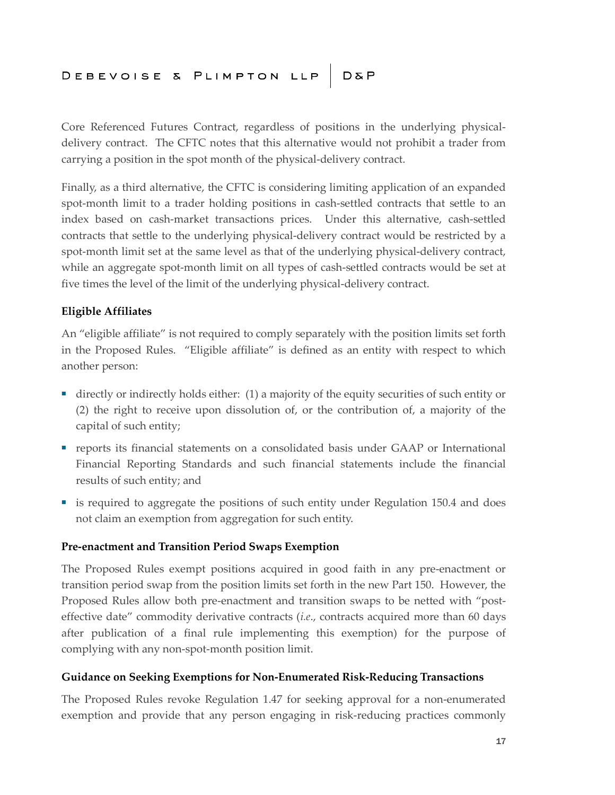Core Referenced Futures Contract, regardless of positions in the underlying physicaldelivery contract. The CFTC notes that this alternative would not prohibit a trader from carrying a position in the spot month of the physical-delivery contract.

Finally, as a third alternative, the CFTC is considering limiting application of an expanded spot-month limit to a trader holding positions in cash-settled contracts that settle to an index based on cash-market transactions prices. Under this alternative, cash-settled contracts that settle to the underlying physical-delivery contract would be restricted by a spot-month limit set at the same level as that of the underlying physical-delivery contract, while an aggregate spot-month limit on all types of cash-settled contracts would be set at five times the level of the limit of the underlying physical-delivery contract.

#### **Eligible Affiliates**

An "eligible affiliate" is not required to comply separately with the position limits set forth in the Proposed Rules. "Eligible affiliate" is defined as an entity with respect to which another person:

- directly or indirectly holds either: (1) a majority of the equity securities of such entity or (2) the right to receive upon dissolution of, or the contribution of, a majority of the capital of such entity;
- reports its financial statements on a consolidated basis under GAAP or International Financial Reporting Standards and such financial statements include the financial results of such entity; and
- is required to aggregate the positions of such entity under Regulation 150.4 and does not claim an exemption from aggregation for such entity.

#### **Pre-enactment and Transition Period Swaps Exemption**

The Proposed Rules exempt positions acquired in good faith in any pre-enactment or transition period swap from the position limits set forth in the new Part 150. However, the Proposed Rules allow both pre-enactment and transition swaps to be netted with "posteffective date" commodity derivative contracts (*i.e*., contracts acquired more than 60 days after publication of a final rule implementing this exemption) for the purpose of complying with any non-spot-month position limit.

#### **Guidance on Seeking Exemptions for Non-Enumerated Risk-Reducing Transactions**

The Proposed Rules revoke Regulation 1.47 for seeking approval for a non-enumerated exemption and provide that any person engaging in risk-reducing practices commonly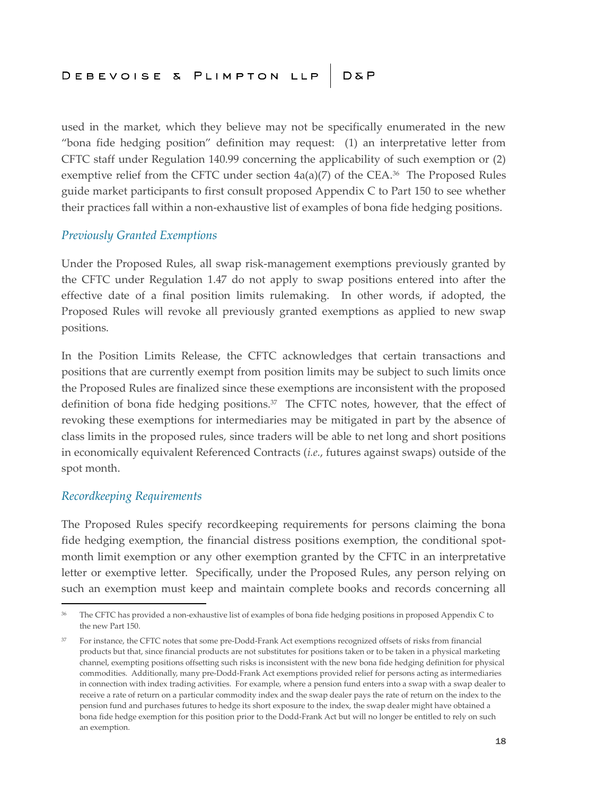used in the market, which they believe may not be specifically enumerated in the new "bona fide hedging position" definition may request: (1) an interpretative letter from CFTC staff under Regulation 140.99 concerning the applicability of such exemption or (2) exemptive relief from the CFTC under section  $4a(a)(7)$  of the CEA.<sup>36</sup> The Proposed Rules guide market participants to first consult proposed Appendix C to Part 150 to see whether their practices fall within a non-exhaustive list of examples of bona fide hedging positions.

#### *Previously Granted Exemptions*

Under the Proposed Rules, all swap risk-management exemptions previously granted by the CFTC under Regulation 1.47 do not apply to swap positions entered into after the effective date of a final position limits rulemaking. In other words, if adopted, the Proposed Rules will revoke all previously granted exemptions as applied to new swap positions.

In the Position Limits Release, the CFTC acknowledges that certain transactions and positions that are currently exempt from position limits may be subject to such limits once the Proposed Rules are finalized since these exemptions are inconsistent with the proposed definition of bona fide hedging positions. $37$  The CFTC notes, however, that the effect of revoking these exemptions for intermediaries may be mitigated in part by the absence of class limits in the proposed rules, since traders will be able to net long and short positions in economically equivalent Referenced Contracts (*i.e.*, futures against swaps) outside of the spot month.

#### *Recordkeeping Requirements*

The Proposed Rules specify recordkeeping requirements for persons claiming the bona fide hedging exemption, the financial distress positions exemption, the conditional spotmonth limit exemption or any other exemption granted by the CFTC in an interpretative letter or exemptive letter. Specifically, under the Proposed Rules, any person relying on such an exemption must keep and maintain complete books and records concerning all

<sup>36</sup> The CFTC has provided a non-exhaustive list of examples of bona fide hedging positions in proposed Appendix C to the new Part 150.

<sup>&</sup>lt;sup>37</sup> For instance, the CFTC notes that some pre-Dodd-Frank Act exemptions recognized offsets of risks from financial products but that, since financial products are not substitutes for positions taken or to be taken in a physical marketing channel, exempting positions offsetting such risks is inconsistent with the new bona fide hedging definition for physical commodities. Additionally, many pre-Dodd-Frank Act exemptions provided relief for persons acting as intermediaries in connection with index trading activities. For example, where a pension fund enters into a swap with a swap dealer to receive a rate of return on a particular commodity index and the swap dealer pays the rate of return on the index to the pension fund and purchases futures to hedge its short exposure to the index, the swap dealer might have obtained a bona fide hedge exemption for this position prior to the Dodd-Frank Act but will no longer be entitled to rely on such an exemption.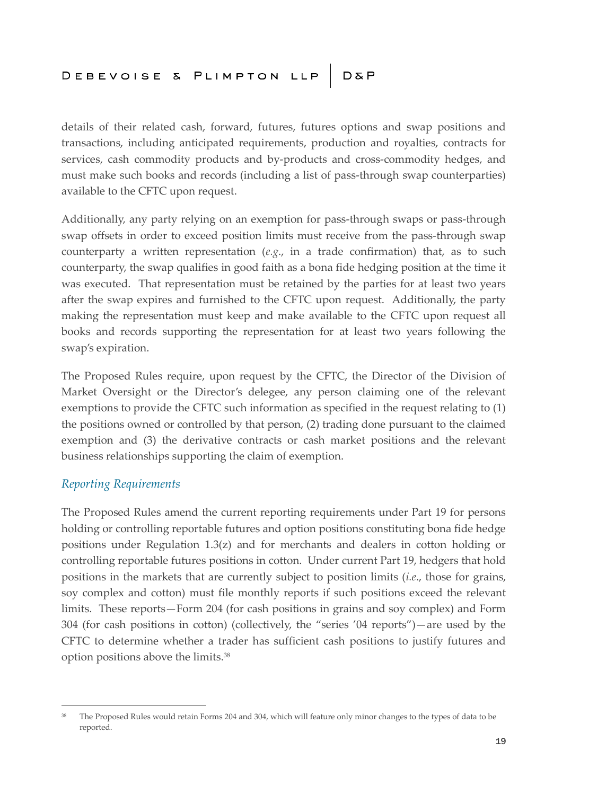details of their related cash, forward, futures, futures options and swap positions and transactions, including anticipated requirements, production and royalties, contracts for services, cash commodity products and by-products and cross-commodity hedges, and must make such books and records (including a list of pass-through swap counterparties) available to the CFTC upon request.

Additionally, any party relying on an exemption for pass-through swaps or pass-through swap offsets in order to exceed position limits must receive from the pass-through swap counterparty a written representation (*e.g*., in a trade confirmation) that, as to such counterparty, the swap qualifies in good faith as a bona fide hedging position at the time it was executed. That representation must be retained by the parties for at least two years after the swap expires and furnished to the CFTC upon request. Additionally, the party making the representation must keep and make available to the CFTC upon request all books and records supporting the representation for at least two years following the swap's expiration.

The Proposed Rules require, upon request by the CFTC, the Director of the Division of Market Oversight or the Director's delegee, any person claiming one of the relevant exemptions to provide the CFTC such information as specified in the request relating to (1) the positions owned or controlled by that person, (2) trading done pursuant to the claimed exemption and (3) the derivative contracts or cash market positions and the relevant business relationships supporting the claim of exemption.

#### *Reporting Requirements*

The Proposed Rules amend the current reporting requirements under Part 19 for persons holding or controlling reportable futures and option positions constituting bona fide hedge positions under Regulation  $1.3(z)$  and for merchants and dealers in cotton holding or controlling reportable futures positions in cotton. Under current Part 19, hedgers that hold positions in the markets that are currently subject to position limits (*i.e*., those for grains, soy complex and cotton) must file monthly reports if such positions exceed the relevant limits. These reports—Form 204 (for cash positions in grains and soy complex) and Form 304 (for cash positions in cotton) (collectively, the "series '04 reports")—are used by the CFTC to determine whether a trader has sufficient cash positions to justify futures and option positions above the limits.<sup>38</sup>

<sup>&</sup>lt;sup>38</sup> The Proposed Rules would retain Forms 204 and 304, which will feature only minor changes to the types of data to be reported.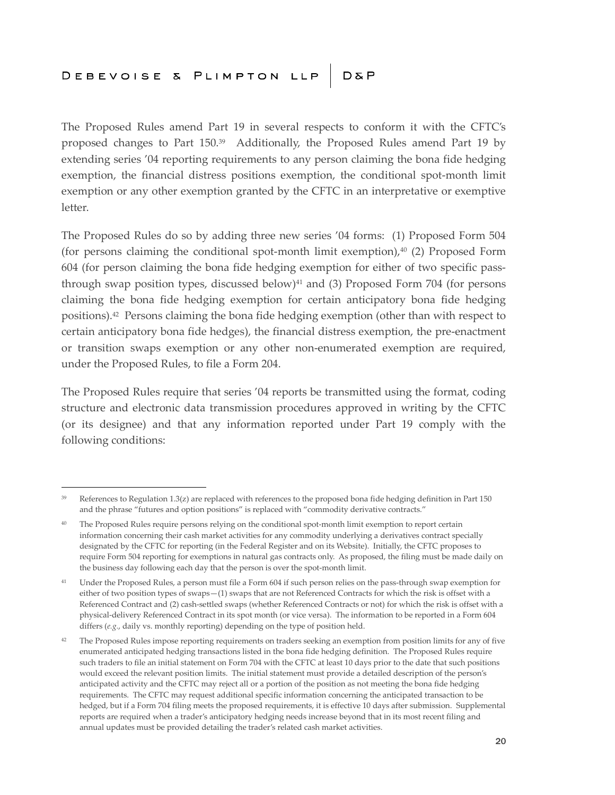The Proposed Rules amend Part 19 in several respects to conform it with the CFTC's proposed changes to Part 150.<sup>39</sup> Additionally, the Proposed Rules amend Part 19 by extending series '04 reporting requirements to any person claiming the bona fide hedging exemption, the financial distress positions exemption, the conditional spot-month limit exemption or any other exemption granted by the CFTC in an interpretative or exemptive letter.

The Proposed Rules do so by adding three new series '04 forms: (1) Proposed Form 504 (for persons claiming the conditional spot-month limit exemption), $40$  (2) Proposed Form 604 (for person claiming the bona fide hedging exemption for either of two specific passthrough swap position types, discussed below) $41$  and (3) Proposed Form 704 (for persons claiming the bona fide hedging exemption for certain anticipatory bona fide hedging positions).<sup>42</sup> Persons claiming the bona fide hedging exemption (other than with respect to certain anticipatory bona fide hedges), the financial distress exemption, the pre-enactment or transition swaps exemption or any other non-enumerated exemption are required, under the Proposed Rules, to file a Form 204.

The Proposed Rules require that series '04 reports be transmitted using the format, coding structure and electronic data transmission procedures approved in writing by the CFTC (or its designee) and that any information reported under Part 19 comply with the following conditions:

 $39$  References to Regulation 1.3(z) are replaced with references to the proposed bona fide hedging definition in Part 150 and the phrase "futures and option positions" is replaced with "commodity derivative contracts."

<sup>&</sup>lt;sup>40</sup> The Proposed Rules require persons relying on the conditional spot-month limit exemption to report certain information concerning their cash market activities for any commodity underlying a derivatives contract specially designated by the CFTC for reporting (in the Federal Register and on its Website). Initially, the CFTC proposes to require Form 504 reporting for exemptions in natural gas contracts only. As proposed, the filing must be made daily on the business day following each day that the person is over the spot-month limit.

<sup>&</sup>lt;sup>41</sup> Under the Proposed Rules, a person must file a Form 604 if such person relies on the pass-through swap exemption for either of two position types of swaps—(1) swaps that are not Referenced Contracts for which the risk is offset with a Referenced Contract and (2) cash-settled swaps (whether Referenced Contracts or not) for which the risk is offset with a physical-delivery Referenced Contract in its spot month (or vice versa). The information to be reported in a Form 604 differs (*e.g.*, daily vs. monthly reporting) depending on the type of position held.

<sup>&</sup>lt;sup>42</sup> The Proposed Rules impose reporting requirements on traders seeking an exemption from position limits for any of five enumerated anticipated hedging transactions listed in the bona fide hedging definition. The Proposed Rules require such traders to file an initial statement on Form 704 with the CFTC at least 10 days prior to the date that such positions would exceed the relevant position limits. The initial statement must provide a detailed description of the person's anticipated activity and the CFTC may reject all or a portion of the position as not meeting the bona fide hedging requirements. The CFTC may request additional specific information concerning the anticipated transaction to be hedged, but if a Form 704 filing meets the proposed requirements, it is effective 10 days after submission. Supplemental reports are required when a trader's anticipatory hedging needs increase beyond that in its most recent filing and annual updates must be provided detailing the trader's related cash market activities.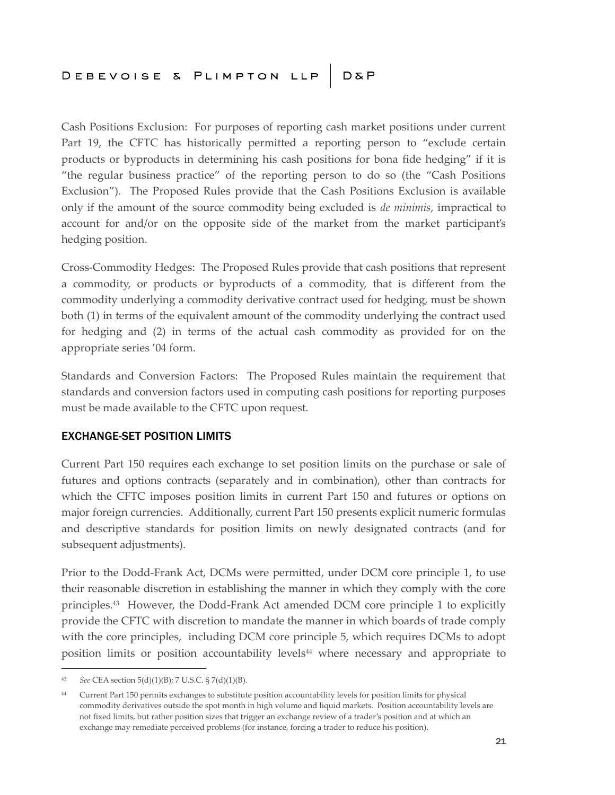Cash Positions Exclusion: For purposes of reporting cash market positions under current Part 19, the CFTC has historically permitted a reporting person to "exclude certain products or byproducts in determining his cash positions for bona fide hedging" if it is "the regular business practice" of the reporting person to do so (the "Cash Positions Exclusion"). The Proposed Rules provide that the Cash Positions Exclusion is available only if the amount of the source commodity being excluded is *de minimis*, impractical to account for and/or on the opposite side of the market from the market participant's hedging position.

Cross-Commodity Hedges: The Proposed Rules provide that cash positions that represent a commodity, or products or byproducts of a commodity, that is different from the commodity underlying a commodity derivative contract used for hedging, must be shown both (1) in terms of the equivalent amount of the commodity underlying the contract used for hedging and (2) in terms of the actual cash commodity as provided for on the appropriate series '04 form.

Standards and Conversion Factors: The Proposed Rules maintain the requirement that standards and conversion factors used in computing cash positions for reporting purposes must be made available to the CFTC upon request.

#### EXCHANGE-SET POSITION LIMITS

Current Part 150 requires each exchange to set position limits on the purchase or sale of futures and options contracts (separately and in combination), other than contracts for which the CFTC imposes position limits in current Part 150 and futures or options on major foreign currencies. Additionally, current Part 150 presents explicit numeric formulas and descriptive standards for position limits on newly designated contracts (and for subsequent adjustments).

Prior to the Dodd-Frank Act, DCMs were permitted, under DCM core principle 1, to use their reasonable discretion in establishing the manner in which they comply with the core principles.<sup>43</sup> However, the Dodd-Frank Act amended DCM core principle 1 to explicitly provide the CFTC with discretion to mandate the manner in which boards of trade comply with the core principles, including DCM core principle 5, which requires DCMs to adopt position limits or position accountability levels<sup>44</sup> where necessary and appropriate to

<sup>43</sup> *See* CEA section 5(d)(1)(B); 7 U.S.C. § 7(d)(1)(B).

<sup>44</sup> Current Part 150 permits exchanges to substitute position accountability levels for position limits for physical commodity derivatives outside the spot month in high volume and liquid markets. Position accountability levels are not fixed limits, but rather position sizes that trigger an exchange review of a trader's position and at which an exchange may remediate perceived problems (for instance, forcing a trader to reduce his position).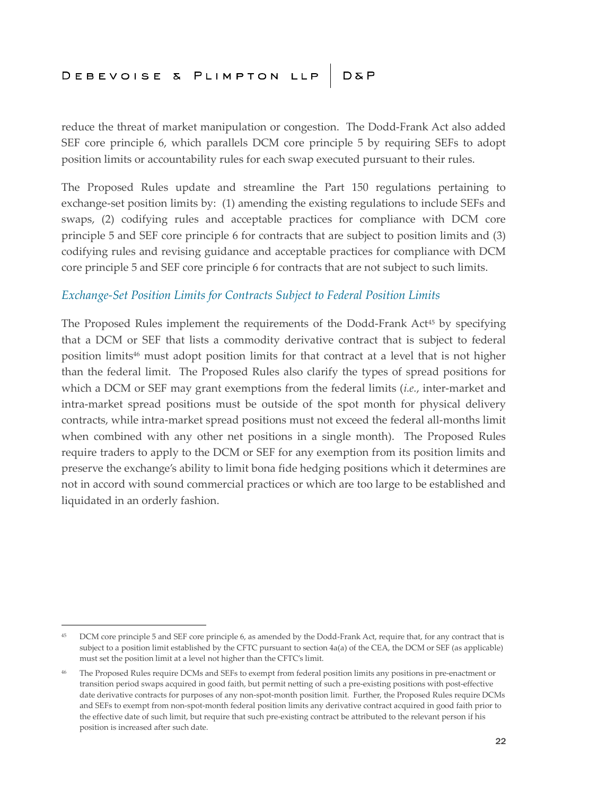reduce the threat of market manipulation or congestion. The Dodd-Frank Act also added SEF core principle 6, which parallels DCM core principle 5 by requiring SEFs to adopt position limits or accountability rules for each swap executed pursuant to their rules.

The Proposed Rules update and streamline the Part 150 regulations pertaining to exchange-set position limits by: (1) amending the existing regulations to include SEFs and swaps, (2) codifying rules and acceptable practices for compliance with DCM core principle 5 and SEF core principle 6 for contracts that are subject to position limits and (3) codifying rules and revising guidance and acceptable practices for compliance with DCM core principle 5 and SEF core principle 6 for contracts that are not subject to such limits.

#### *Exchange-Set Position Limits for Contracts Subject to Federal Position Limits*

The Proposed Rules implement the requirements of the Dodd-Frank Act<sup>45</sup> by specifying that a DCM or SEF that lists a commodity derivative contract that is subject to federal position limits<sup>46</sup> must adopt position limits for that contract at a level that is not higher than the federal limit. The Proposed Rules also clarify the types of spread positions for which a DCM or SEF may grant exemptions from the federal limits (*i.e.*, inter-market and intra-market spread positions must be outside of the spot month for physical delivery contracts, while intra-market spread positions must not exceed the federal all-months limit when combined with any other net positions in a single month). The Proposed Rules require traders to apply to the DCM or SEF for any exemption from its position limits and preserve the exchange's ability to limit bona fide hedging positions which it determines are not in accord with sound commercial practices or which are too large to be established and liquidated in an orderly fashion.

<sup>45</sup> DCM core principle 5 and SEF core principle 6, as amended by the Dodd-Frank Act, require that, for any contract that is subject to a position limit established by the CFTC pursuant to section 4a(a) of the CEA, the DCM or SEF (as applicable) must set the position limit at a level not higher than the CFTC's limit.

<sup>46</sup> The Proposed Rules require DCMs and SEFs to exempt from federal position limits any positions in pre-enactment or transition period swaps acquired in good faith, but permit netting of such a pre-existing positions with post-effective date derivative contracts for purposes of any non-spot-month position limit. Further, the Proposed Rules require DCMs and SEFs to exempt from non-spot-month federal position limits any derivative contract acquired in good faith prior to the effective date of such limit, but require that such pre-existing contract be attributed to the relevant person if his position is increased after such date.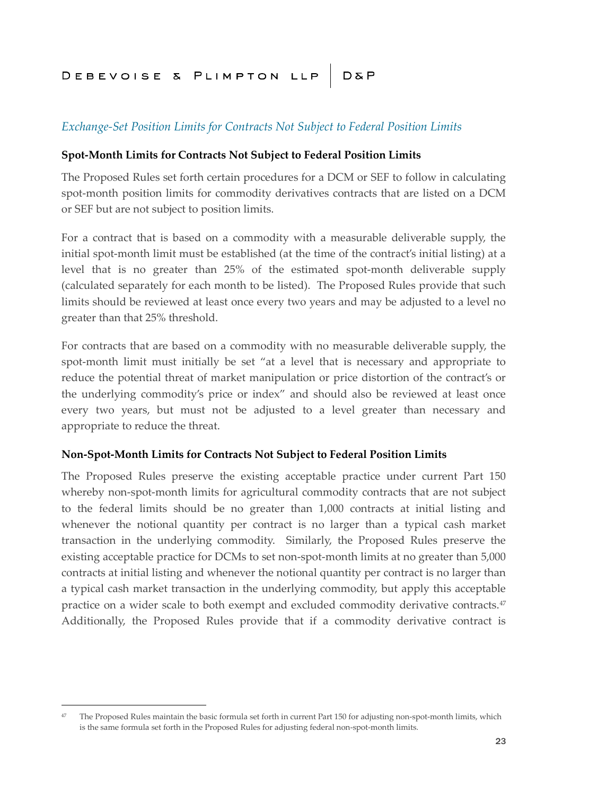#### *Exchange-Set Position Limits for Contracts Not Subject to Federal Position Limits*

#### **Spot-Month Limits for Contracts Not Subject to Federal Position Limits**

The Proposed Rules set forth certain procedures for a DCM or SEF to follow in calculating spot-month position limits for commodity derivatives contracts that are listed on a DCM or SEF but are not subject to position limits.

For a contract that is based on a commodity with a measurable deliverable supply, the initial spot-month limit must be established (at the time of the contract's initial listing) at a level that is no greater than 25% of the estimated spot-month deliverable supply (calculated separately for each month to be listed). The Proposed Rules provide that such limits should be reviewed at least once every two years and may be adjusted to a level no greater than that 25% threshold.

For contracts that are based on a commodity with no measurable deliverable supply, the spot-month limit must initially be set "at a level that is necessary and appropriate to reduce the potential threat of market manipulation or price distortion of the contract's or the underlying commodity's price or index" and should also be reviewed at least once every two years, but must not be adjusted to a level greater than necessary and appropriate to reduce the threat.

#### **Non-Spot-Month Limits for Contracts Not Subject to Federal Position Limits**

The Proposed Rules preserve the existing acceptable practice under current Part 150 whereby non-spot-month limits for agricultural commodity contracts that are not subject to the federal limits should be no greater than 1,000 contracts at initial listing and whenever the notional quantity per contract is no larger than a typical cash market transaction in the underlying commodity. Similarly, the Proposed Rules preserve the existing acceptable practice for DCMs to set non-spot-month limits at no greater than 5,000 contracts at initial listing and whenever the notional quantity per contract is no larger than a typical cash market transaction in the underlying commodity, but apply this acceptable practice on a wider scale to both exempt and excluded commodity derivative contracts.<sup>47</sup> Additionally, the Proposed Rules provide that if a commodity derivative contract is

<sup>&</sup>lt;sup>47</sup> The Proposed Rules maintain the basic formula set forth in current Part 150 for adjusting non-spot-month limits, which is the same formula set forth in the Proposed Rules for adjusting federal non-spot-month limits.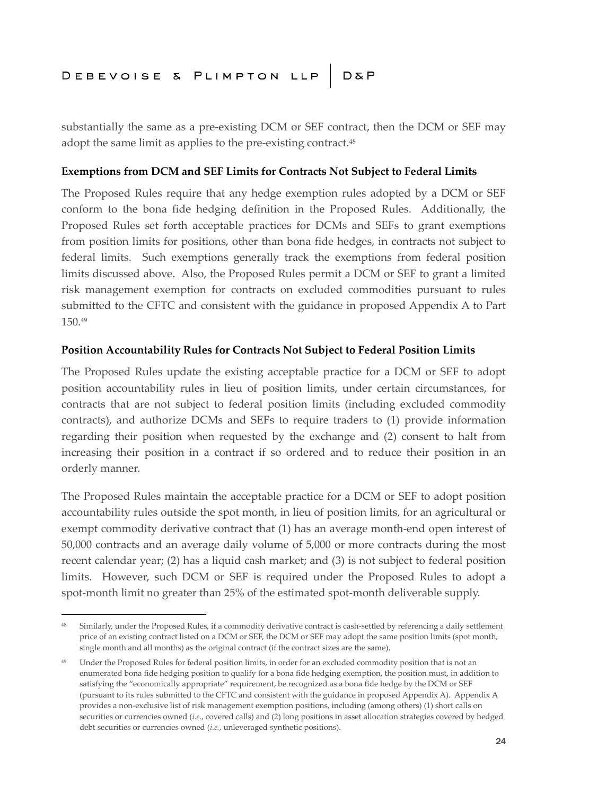substantially the same as a pre-existing DCM or SEF contract, then the DCM or SEF may adopt the same limit as applies to the pre-existing contract.<sup>48</sup>

#### **Exemptions from DCM and SEF Limits for Contracts Not Subject to Federal Limits**

The Proposed Rules require that any hedge exemption rules adopted by a DCM or SEF conform to the bona fide hedging definition in the Proposed Rules. Additionally, the Proposed Rules set forth acceptable practices for DCMs and SEFs to grant exemptions from position limits for positions, other than bona fide hedges, in contracts not subject to federal limits. Such exemptions generally track the exemptions from federal position limits discussed above. Also, the Proposed Rules permit a DCM or SEF to grant a limited risk management exemption for contracts on excluded commodities pursuant to rules submitted to the CFTC and consistent with the guidance in proposed Appendix A to Part 150.<sup>49</sup>

#### **Position Accountability Rules for Contracts Not Subject to Federal Position Limits**

The Proposed Rules update the existing acceptable practice for a DCM or SEF to adopt position accountability rules in lieu of position limits, under certain circumstances, for contracts that are not subject to federal position limits (including excluded commodity contracts), and authorize DCMs and SEFs to require traders to (1) provide information regarding their position when requested by the exchange and (2) consent to halt from increasing their position in a contract if so ordered and to reduce their position in an orderly manner.

The Proposed Rules maintain the acceptable practice for a DCM or SEF to adopt position accountability rules outside the spot month, in lieu of position limits, for an agricultural or exempt commodity derivative contract that (1) has an average month-end open interest of 50,000 contracts and an average daily volume of 5,000 or more contracts during the most recent calendar year; (2) has a liquid cash market; and (3) is not subject to federal position limits. However, such DCM or SEF is required under the Proposed Rules to adopt a spot-month limit no greater than 25% of the estimated spot-month deliverable supply.

<sup>&</sup>lt;sup>48</sup> Similarly, under the Proposed Rules, if a commodity derivative contract is cash-settled by referencing a daily settlement price of an existing contract listed on a DCM or SEF, the DCM or SEF may adopt the same position limits (spot month, single month and all months) as the original contract (if the contract sizes are the same).

<sup>&</sup>lt;sup>49</sup> Under the Proposed Rules for federal position limits, in order for an excluded commodity position that is not an enumerated bona fide hedging position to qualify for a bona fide hedging exemption, the position must, in addition to satisfying the "economically appropriate" requirement, be recognized as a bona fide hedge by the DCM or SEF (pursuant to its rules submitted to the CFTC and consistent with the guidance in proposed Appendix A). Appendix A provides a non-exclusive list of risk management exemption positions, including (among others) (1) short calls on securities or currencies owned (*i.e.*, covered calls) and (2) long positions in asset allocation strategies covered by hedged debt securities or currencies owned (*i.e.*, unleveraged synthetic positions).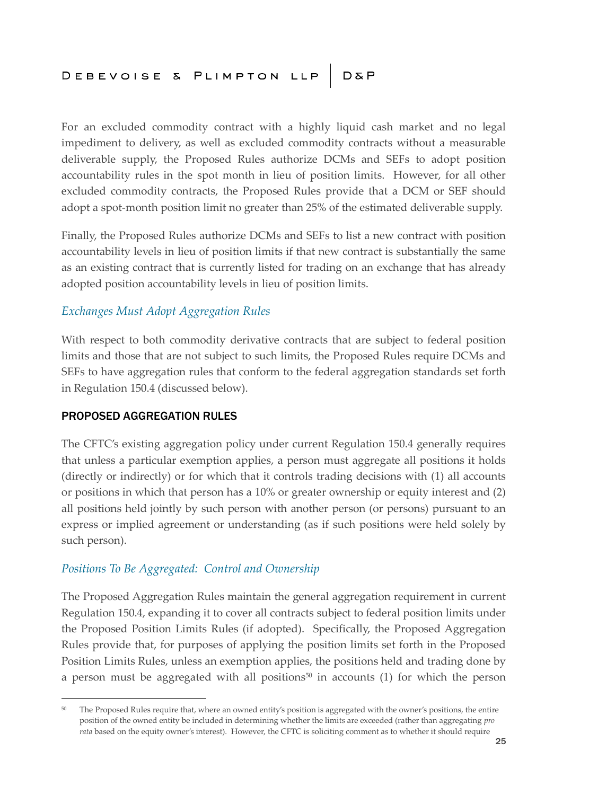For an excluded commodity contract with a highly liquid cash market and no legal impediment to delivery, as well as excluded commodity contracts without a measurable deliverable supply, the Proposed Rules authorize DCMs and SEFs to adopt position accountability rules in the spot month in lieu of position limits. However, for all other excluded commodity contracts, the Proposed Rules provide that a DCM or SEF should adopt a spot-month position limit no greater than 25% of the estimated deliverable supply.

Finally, the Proposed Rules authorize DCMs and SEFs to list a new contract with position accountability levels in lieu of position limits if that new contract is substantially the same as an existing contract that is currently listed for trading on an exchange that has already adopted position accountability levels in lieu of position limits.

#### *Exchanges Must Adopt Aggregation Rules*

With respect to both commodity derivative contracts that are subject to federal position limits and those that are not subject to such limits, the Proposed Rules require DCMs and SEFs to have aggregation rules that conform to the federal aggregation standards set forth in Regulation 150.4 (discussed below).

#### PROPOSED AGGREGATION RULES

The CFTC's existing aggregation policy under current Regulation 150.4 generally requires that unless a particular exemption applies, a person must aggregate all positions it holds (directly or indirectly) or for which that it controls trading decisions with (1) all accounts or positions in which that person has a 10% or greater ownership or equity interest and (2) all positions held jointly by such person with another person (or persons) pursuant to an express or implied agreement or understanding (as if such positions were held solely by such person).

#### *Positions To Be Aggregated: Control and Ownership*

The Proposed Aggregation Rules maintain the general aggregation requirement in current Regulation 150.4, expanding it to cover all contracts subject to federal position limits under the Proposed Position Limits Rules (if adopted). Specifically, the Proposed Aggregation Rules provide that, for purposes of applying the position limits set forth in the Proposed Position Limits Rules, unless an exemption applies, the positions held and trading done by a person must be aggregated with all positions<sup>50</sup> in accounts  $(1)$  for which the person

<sup>&</sup>lt;sup>50</sup> The Proposed Rules require that, where an owned entity's position is aggregated with the owner's positions, the entire position of the owned entity be included in determining whether the limits are exceeded (rather than aggregating *pro rata* based on the equity owner's interest). However, the CFTC is soliciting comment as to whether it should require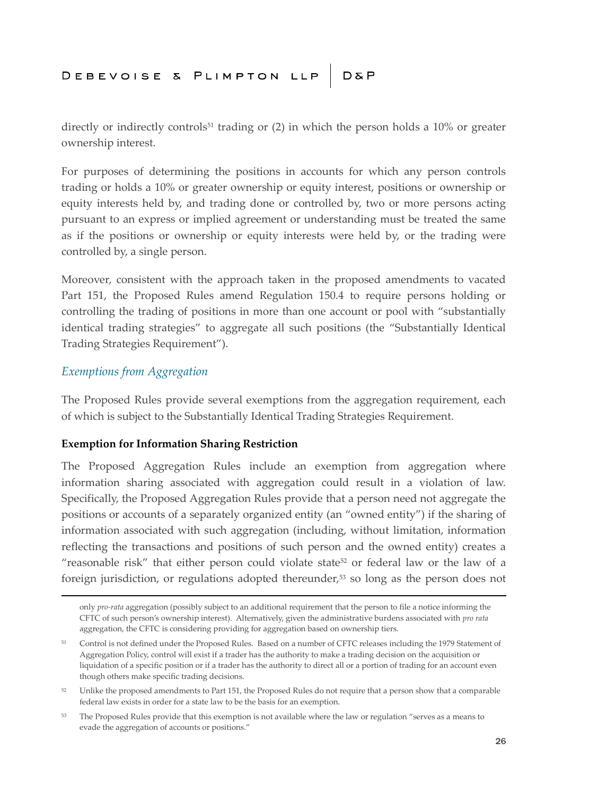directly or indirectly controls<sup>51</sup> trading or  $(2)$  in which the person holds a 10% or greater ownership interest.

For purposes of determining the positions in accounts for which any person controls trading or holds a 10% or greater ownership or equity interest, positions or ownership or equity interests held by, and trading done or controlled by, two or more persons acting pursuant to an express or implied agreement or understanding must be treated the same as if the positions or ownership or equity interests were held by, or the trading were controlled by, a single person.

Moreover, consistent with the approach taken in the proposed amendments to vacated Part 151, the Proposed Rules amend Regulation 150.4 to require persons holding or controlling the trading of positions in more than one account or pool with "substantially identical trading strategies" to aggregate all such positions (the "Substantially Identical Trading Strategies Requirement").

#### *Exemptions from Aggregation*

The Proposed Rules provide several exemptions from the aggregation requirement, each of which is subject to the Substantially Identical Trading Strategies Requirement.

#### **Exemption for Information Sharing Restriction**

The Proposed Aggregation Rules include an exemption from aggregation where information sharing associated with aggregation could result in a violation of law. Specifically, the Proposed Aggregation Rules provide that a person need not aggregate the positions or accounts of a separately organized entity (an "owned entity") if the sharing of information associated with such aggregation (including, without limitation, information reflecting the transactions and positions of such person and the owned entity) creates a "reasonable risk" that either person could violate state<sup>52</sup> or federal law or the law of a foreign jurisdiction, or regulations adopted thereunder,<sup>53</sup> so long as the person does not

only *pro-rata* aggregation (possibly subject to an additional requirement that the person to file a notice informing the CFTC of such person's ownership interest). Alternatively, given the administrative burdens associated with *pro rata* aggregation, the CFTC is considering providing for aggregation based on ownership tiers.

<sup>51</sup> Control is not defined under the Proposed Rules. Based on a number of CFTC releases including the 1979 Statement of Aggregation Policy, control will exist if a trader has the authority to make a trading decision on the acquisition or liquidation of a specific position or if a trader has the authority to direct all or a portion of trading for an account even though others make specific trading decisions.

<sup>&</sup>lt;sup>52</sup> Unlike the proposed amendments to Part 151, the Proposed Rules do not require that a person show that a comparable federal law exists in order for a state law to be the basis for an exemption.

<sup>&</sup>lt;sup>53</sup> The Proposed Rules provide that this exemption is not available where the law or regulation "serves as a means to evade the aggregation of accounts or positions."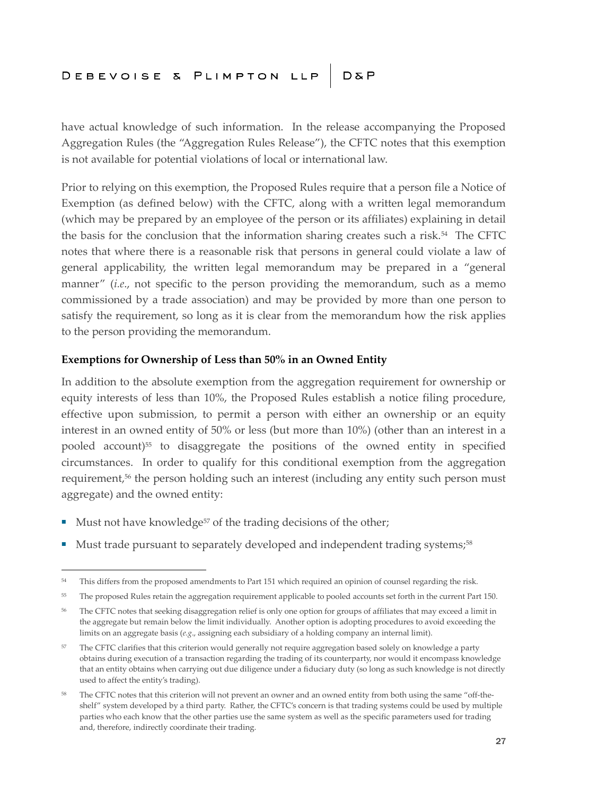have actual knowledge of such information. In the release accompanying the Proposed Aggregation Rules (the "Aggregation Rules Release"), the CFTC notes that this exemption is not available for potential violations of local or international law.

Prior to relying on this exemption, the Proposed Rules require that a person file a Notice of Exemption (as defined below) with the CFTC, along with a written legal memorandum (which may be prepared by an employee of the person or its affiliates) explaining in detail the basis for the conclusion that the information sharing creates such a risk.<sup>54</sup> The CFTC notes that where there is a reasonable risk that persons in general could violate a law of general applicability, the written legal memorandum may be prepared in a "general manner" (*i.e*., not specific to the person providing the memorandum, such as a memo commissioned by a trade association) and may be provided by more than one person to satisfy the requirement, so long as it is clear from the memorandum how the risk applies to the person providing the memorandum.

#### **Exemptions for Ownership of Less than 50% in an Owned Entity**

In addition to the absolute exemption from the aggregation requirement for ownership or equity interests of less than 10%, the Proposed Rules establish a notice filing procedure, effective upon submission, to permit a person with either an ownership or an equity interest in an owned entity of 50% or less (but more than 10%) (other than an interest in a pooled account)<sup>55</sup> to disaggregate the positions of the owned entity in specified circumstances. In order to qualify for this conditional exemption from the aggregation requirement,<sup>56</sup> the person holding such an interest (including any entity such person must aggregate) and the owned entity:

- Must not have knowledge<sup>57</sup> of the trading decisions of the other;
- Must trade pursuant to separately developed and independent trading systems;<sup>58</sup>

<sup>&</sup>lt;sup>54</sup> This differs from the proposed amendments to Part 151 which required an opinion of counsel regarding the risk.

<sup>&</sup>lt;sup>55</sup> The proposed Rules retain the aggregation requirement applicable to pooled accounts set forth in the current Part 150.

<sup>&</sup>lt;sup>56</sup> The CFTC notes that seeking disaggregation relief is only one option for groups of affiliates that may exceed a limit in the aggregate but remain below the limit individually. Another option is adopting procedures to avoid exceeding the limits on an aggregate basis (*e.g*., assigning each subsidiary of a holding company an internal limit).

<sup>&</sup>lt;sup>57</sup> The CFTC clarifies that this criterion would generally not require aggregation based solely on knowledge a party obtains during execution of a transaction regarding the trading of its counterparty, nor would it encompass knowledge that an entity obtains when carrying out due diligence under a fiduciary duty (so long as such knowledge is not directly used to affect the entity's trading).

<sup>&</sup>lt;sup>58</sup> The CFTC notes that this criterion will not prevent an owner and an owned entity from both using the same "off-theshelf" system developed by a third party. Rather, the CFTC's concern is that trading systems could be used by multiple parties who each know that the other parties use the same system as well as the specific parameters used for trading and, therefore, indirectly coordinate their trading.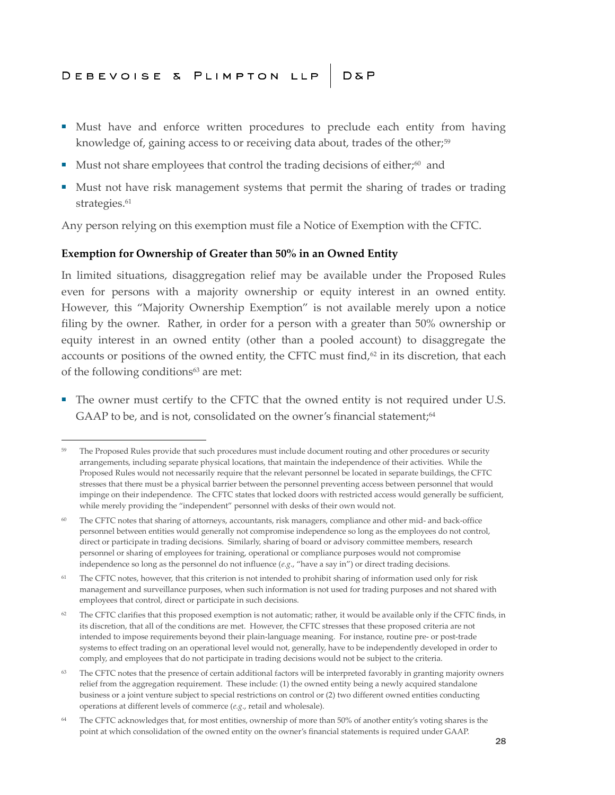- Must have and enforce written procedures to preclude each entity from having knowledge of, gaining access to or receiving data about, trades of the other;<sup>59</sup>
- Must not share employees that control the trading decisions of either;<sup>60</sup> and
- Must not have risk management systems that permit the sharing of trades or trading strategies.<sup>61</sup>

Any person relying on this exemption must file a Notice of Exemption with the CFTC.

#### **Exemption for Ownership of Greater than 50% in an Owned Entity**

In limited situations, disaggregation relief may be available under the Proposed Rules even for persons with a majority ownership or equity interest in an owned entity. However, this "Majority Ownership Exemption" is not available merely upon a notice filing by the owner. Rather, in order for a person with a greater than 50% ownership or equity interest in an owned entity (other than a pooled account) to disaggregate the accounts or positions of the owned entity, the CFTC must find, $62$  in its discretion, that each of the following conditions<sup>63</sup> are met:

The owner must certify to the CFTC that the owned entity is not required under U.S. GAAP to be, and is not, consolidated on the owner's financial statement;<sup>64</sup>

<sup>&</sup>lt;sup>59</sup> The Proposed Rules provide that such procedures must include document routing and other procedures or security arrangements, including separate physical locations, that maintain the independence of their activities. While the Proposed Rules would not necessarily require that the relevant personnel be located in separate buildings, the CFTC stresses that there must be a physical barrier between the personnel preventing access between personnel that would impinge on their independence. The CFTC states that locked doors with restricted access would generally be sufficient, while merely providing the "independent" personnel with desks of their own would not.

<sup>&</sup>lt;sup>60</sup> The CFTC notes that sharing of attorneys, accountants, risk managers, compliance and other mid- and back-office personnel between entities would generally not compromise independence so long as the employees do not control, direct or participate in trading decisions. Similarly, sharing of board or advisory committee members, research personnel or sharing of employees for training, operational or compliance purposes would not compromise independence so long as the personnel do not influence (*e.g*., "have a say in") or direct trading decisions.

<sup>&</sup>lt;sup>61</sup> The CFTC notes, however, that this criterion is not intended to prohibit sharing of information used only for risk management and surveillance purposes, when such information is not used for trading purposes and not shared with employees that control, direct or participate in such decisions.

 $62$  The CFTC clarifies that this proposed exemption is not automatic; rather, it would be available only if the CFTC finds, in its discretion, that all of the conditions are met. However, the CFTC stresses that these proposed criteria are not intended to impose requirements beyond their plain-language meaning. For instance, routine pre- or post-trade systems to effect trading on an operational level would not, generally, have to be independently developed in order to comply, and employees that do not participate in trading decisions would not be subject to the criteria.

<sup>&</sup>lt;sup>63</sup> The CFTC notes that the presence of certain additional factors will be interpreted favorably in granting majority owners relief from the aggregation requirement. These include: (1) the owned entity being a newly acquired standalone business or a joint venture subject to special restrictions on control or (2) two different owned entities conducting operations at different levels of commerce (*e.g*., retail and wholesale).

<sup>&</sup>lt;sup>64</sup> The CFTC acknowledges that, for most entities, ownership of more than 50% of another entity's voting shares is the point at which consolidation of the owned entity on the owner's financial statements is required under GAAP.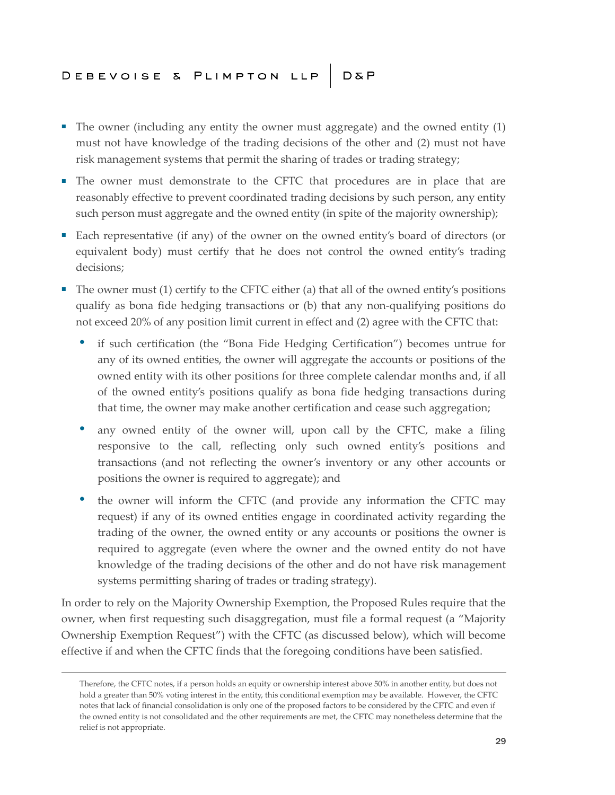- The owner (including any entity the owner must aggregate) and the owned entity (1) must not have knowledge of the trading decisions of the other and (2) must not have risk management systems that permit the sharing of trades or trading strategy;
- The owner must demonstrate to the CFTC that procedures are in place that are reasonably effective to prevent coordinated trading decisions by such person, any entity such person must aggregate and the owned entity (in spite of the majority ownership);
- Each representative (if any) of the owner on the owned entity's board of directors (or equivalent body) must certify that he does not control the owned entity's trading decisions;
- The owner must (1) certify to the CFTC either (a) that all of the owned entity's positions qualify as bona fide hedging transactions or (b) that any non-qualifying positions do not exceed 20% of any position limit current in effect and (2) agree with the CFTC that:
	- if such certification (the "Bona Fide Hedging Certification") becomes untrue for any of its owned entities, the owner will aggregate the accounts or positions of the owned entity with its other positions for three complete calendar months and, if all of the owned entity's positions qualify as bona fide hedging transactions during that time, the owner may make another certification and cease such aggregation;
	- any owned entity of the owner will, upon call by the CFTC, make a filing responsive to the call, reflecting only such owned entity's positions and transactions (and not reflecting the owner's inventory or any other accounts or positions the owner is required to aggregate); and
	- the owner will inform the CFTC (and provide any information the CFTC may request) if any of its owned entities engage in coordinated activity regarding the trading of the owner, the owned entity or any accounts or positions the owner is required to aggregate (even where the owner and the owned entity do not have knowledge of the trading decisions of the other and do not have risk management systems permitting sharing of trades or trading strategy).

In order to rely on the Majority Ownership Exemption, the Proposed Rules require that the owner, when first requesting such disaggregation, must file a formal request (a "Majority Ownership Exemption Request") with the CFTC (as discussed below), which will become effective if and when the CFTC finds that the foregoing conditions have been satisfied.

Therefore, the CFTC notes, if a person holds an equity or ownership interest above 50% in another entity, but does not hold a greater than 50% voting interest in the entity, this conditional exemption may be available. However, the CFTC notes that lack of financial consolidation is only one of the proposed factors to be considered by the CFTC and even if the owned entity is not consolidated and the other requirements are met, the CFTC may nonetheless determine that the relief is not appropriate.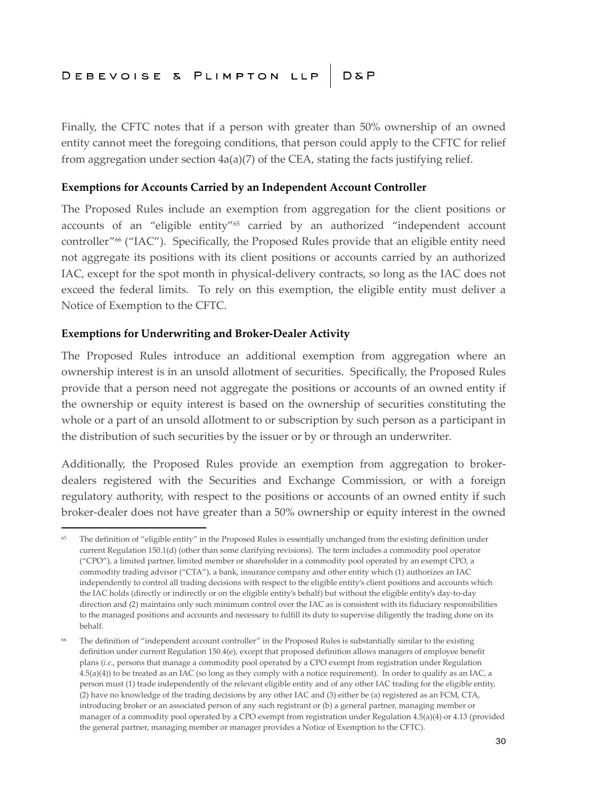Finally, the CFTC notes that if a person with greater than 50% ownership of an owned entity cannot meet the foregoing conditions, that person could apply to the CFTC for relief from aggregation under section 4a(a)(7) of the CEA, stating the facts justifying relief.

#### **Exemptions for Accounts Carried by an Independent Account Controller**

The Proposed Rules include an exemption from aggregation for the client positions or accounts of an "eligible entity"<sup>65</sup> carried by an authorized "independent account controller"<sup>66</sup> ("IAC"). Specifically, the Proposed Rules provide that an eligible entity need not aggregate its positions with its client positions or accounts carried by an authorized IAC, except for the spot month in physical-delivery contracts, so long as the IAC does not exceed the federal limits. To rely on this exemption, the eligible entity must deliver a Notice of Exemption to the CFTC.

#### **Exemptions for Underwriting and Broker-Dealer Activity**

The Proposed Rules introduce an additional exemption from aggregation where an ownership interest is in an unsold allotment of securities. Specifically, the Proposed Rules provide that a person need not aggregate the positions or accounts of an owned entity if the ownership or equity interest is based on the ownership of securities constituting the whole or a part of an unsold allotment to or subscription by such person as a participant in the distribution of such securities by the issuer or by or through an underwriter.

Additionally, the Proposed Rules provide an exemption from aggregation to brokerdealers registered with the Securities and Exchange Commission, or with a foreign regulatory authority, with respect to the positions or accounts of an owned entity if such broker-dealer does not have greater than a 50% ownership or equity interest in the owned

The definition of "eligible entity" in the Proposed Rules is essentially unchanged from the existing definition under current Regulation 150.1(d) (other than some clarifying revisions). The term includes a commodity pool operator ("CPO"), a limited partner, limited member or shareholder in a commodity pool operated by an exempt CPO, a commodity trading advisor ("CTA"), a bank, insurance company and other entity which (1) authorizes an IAC independently to control all trading decisions with respect to the eligible entity's client positions and accounts which the IAC holds (directly or indirectly or on the eligible entity's behalf) but without the eligible entity's day-to-day direction and (2) maintains only such minimum control over the IAC as is consistent with its fiduciary responsibilities to the managed positions and accounts and necessary to fulfill its duty to supervise diligently the trading done on its behalf.

<sup>&</sup>lt;sup>66</sup> The definition of "independent account controller" in the Proposed Rules is substantially similar to the existing definition under current Regulation 150.4(e), except that proposed definition allows managers of employee benefit plans (*i.e.*, persons that manage a commodity pool operated by a CPO exempt from registration under Regulation 4.5(a)(4)) to be treated as an IAC (so long as they comply with a notice requirement). In order to qualify as an IAC, a person must (1) trade independently of the relevant eligible entity and of any other IAC trading for the eligible entity, (2) have no knowledge of the trading decisions by any other IAC and (3) either be (a) registered as an FCM, CTA, introducing broker or an associated person of any such registrant or (b) a general partner, managing member or manager of a commodity pool operated by a CPO exempt from registration under Regulation 4.5(a)(4) or 4.13 (provided the general partner, managing member or manager provides a Notice of Exemption to the CFTC).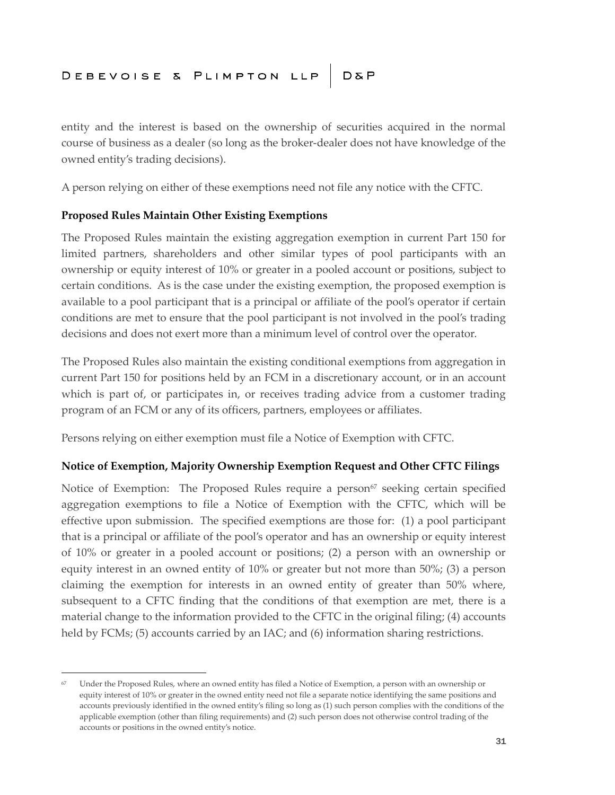entity and the interest is based on the ownership of securities acquired in the normal course of business as a dealer (so long as the broker-dealer does not have knowledge of the owned entity's trading decisions).

A person relying on either of these exemptions need not file any notice with the CFTC.

#### **Proposed Rules Maintain Other Existing Exemptions**

The Proposed Rules maintain the existing aggregation exemption in current Part 150 for limited partners, shareholders and other similar types of pool participants with an ownership or equity interest of 10% or greater in a pooled account or positions, subject to certain conditions. As is the case under the existing exemption, the proposed exemption is available to a pool participant that is a principal or affiliate of the pool's operator if certain conditions are met to ensure that the pool participant is not involved in the pool's trading decisions and does not exert more than a minimum level of control over the operator.

The Proposed Rules also maintain the existing conditional exemptions from aggregation in current Part 150 for positions held by an FCM in a discretionary account, or in an account which is part of, or participates in, or receives trading advice from a customer trading program of an FCM or any of its officers, partners, employees or affiliates.

Persons relying on either exemption must file a Notice of Exemption with CFTC.

#### **Notice of Exemption, Majority Ownership Exemption Request and Other CFTC Filings**

Notice of Exemption: The Proposed Rules require a person<sup>67</sup> seeking certain specified aggregation exemptions to file a Notice of Exemption with the CFTC, which will be effective upon submission. The specified exemptions are those for: (1) a pool participant that is a principal or affiliate of the pool's operator and has an ownership or equity interest of 10% or greater in a pooled account or positions; (2) a person with an ownership or equity interest in an owned entity of 10% or greater but not more than 50%; (3) a person claiming the exemption for interests in an owned entity of greater than 50% where, subsequent to a CFTC finding that the conditions of that exemption are met, there is a material change to the information provided to the CFTC in the original filing; (4) accounts held by FCMs; (5) accounts carried by an IAC; and (6) information sharing restrictions.

<sup>67</sup> Under the Proposed Rules, where an owned entity has filed a Notice of Exemption, a person with an ownership or equity interest of 10% or greater in the owned entity need not file a separate notice identifying the same positions and accounts previously identified in the owned entity's filing so long as (1) such person complies with the conditions of the applicable exemption (other than filing requirements) and (2) such person does not otherwise control trading of the accounts or positions in the owned entity's notice.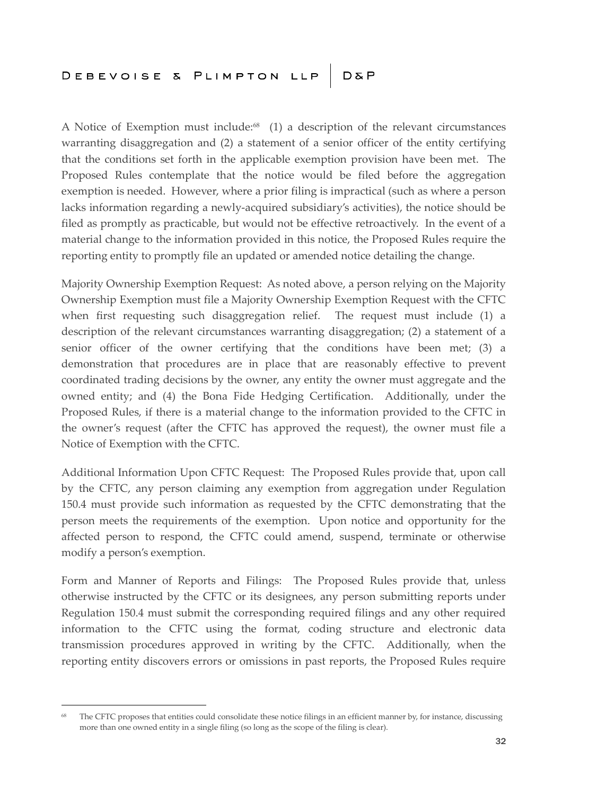A Notice of Exemption must include: $68$  (1) a description of the relevant circumstances warranting disaggregation and (2) a statement of a senior officer of the entity certifying that the conditions set forth in the applicable exemption provision have been met. The Proposed Rules contemplate that the notice would be filed before the aggregation exemption is needed. However, where a prior filing is impractical (such as where a person lacks information regarding a newly-acquired subsidiary's activities), the notice should be filed as promptly as practicable, but would not be effective retroactively. In the event of a material change to the information provided in this notice, the Proposed Rules require the reporting entity to promptly file an updated or amended notice detailing the change.

Majority Ownership Exemption Request: As noted above, a person relying on the Majority Ownership Exemption must file a Majority Ownership Exemption Request with the CFTC when first requesting such disaggregation relief. The request must include (1) a description of the relevant circumstances warranting disaggregation; (2) a statement of a senior officer of the owner certifying that the conditions have been met; (3) a demonstration that procedures are in place that are reasonably effective to prevent coordinated trading decisions by the owner, any entity the owner must aggregate and the owned entity; and (4) the Bona Fide Hedging Certification. Additionally, under the Proposed Rules, if there is a material change to the information provided to the CFTC in the owner's request (after the CFTC has approved the request), the owner must file a Notice of Exemption with the CFTC.

Additional Information Upon CFTC Request: The Proposed Rules provide that, upon call by the CFTC, any person claiming any exemption from aggregation under Regulation 150.4 must provide such information as requested by the CFTC demonstrating that the person meets the requirements of the exemption. Upon notice and opportunity for the affected person to respond, the CFTC could amend, suspend, terminate or otherwise modify a person's exemption.

Form and Manner of Reports and Filings: The Proposed Rules provide that, unless otherwise instructed by the CFTC or its designees, any person submitting reports under Regulation 150.4 must submit the corresponding required filings and any other required information to the CFTC using the format, coding structure and electronic data transmission procedures approved in writing by the CFTC. Additionally, when the reporting entity discovers errors or omissions in past reports, the Proposed Rules require

<sup>&</sup>lt;sup>68</sup> The CFTC proposes that entities could consolidate these notice filings in an efficient manner by, for instance, discussing more than one owned entity in a single filing (so long as the scope of the filing is clear).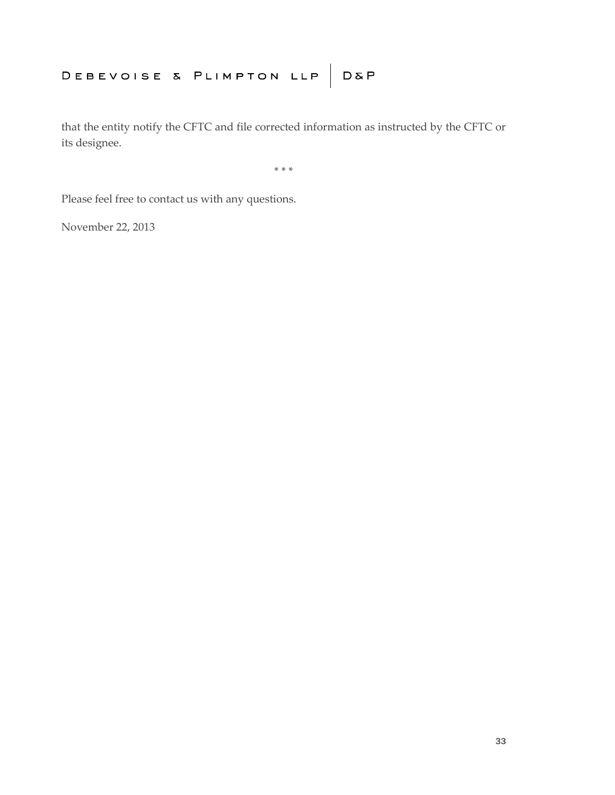that the entity notify the CFTC and file corrected information as instructed by the CFTC or its designee.

\* \* \*

Please feel free to contact us with any questions.

November 22, 2013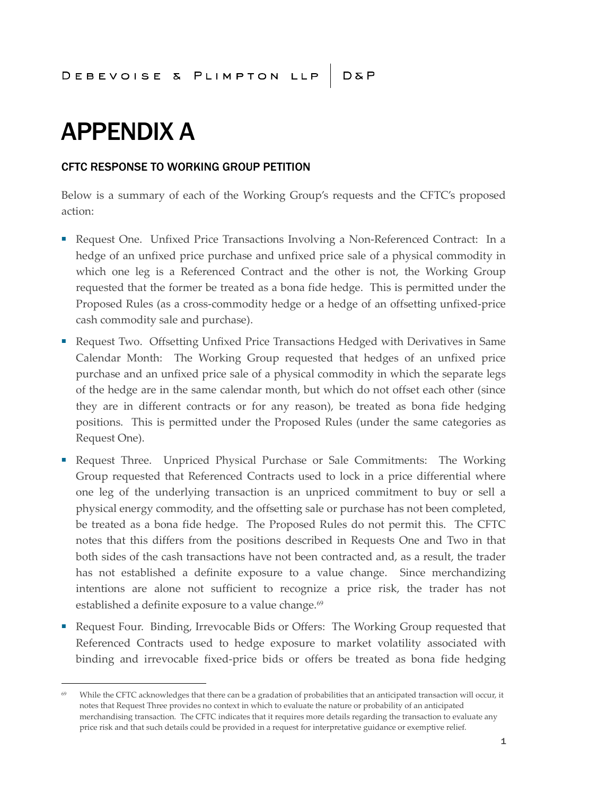# APPENDIX A

#### CFTC RESPONSE TO WORKING GROUP PETITION

Below is a summary of each of the Working Group's requests and the CFTC's proposed action:

- Request One. Unfixed Price Transactions Involving a Non-Referenced Contract: In a hedge of an unfixed price purchase and unfixed price sale of a physical commodity in which one leg is a Referenced Contract and the other is not, the Working Group requested that the former be treated as a bona fide hedge. This is permitted under the Proposed Rules (as a cross-commodity hedge or a hedge of an offsetting unfixed-price cash commodity sale and purchase).
- Request Two. Offsetting Unfixed Price Transactions Hedged with Derivatives in Same Calendar Month: The Working Group requested that hedges of an unfixed price purchase and an unfixed price sale of a physical commodity in which the separate legs of the hedge are in the same calendar month, but which do not offset each other (since they are in different contracts or for any reason), be treated as bona fide hedging positions. This is permitted under the Proposed Rules (under the same categories as Request One).
- Request Three. Unpriced Physical Purchase or Sale Commitments: The Working Group requested that Referenced Contracts used to lock in a price differential where one leg of the underlying transaction is an unpriced commitment to buy or sell a physical energy commodity, and the offsetting sale or purchase has not been completed, be treated as a bona fide hedge. The Proposed Rules do not permit this. The CFTC notes that this differs from the positions described in Requests One and Two in that both sides of the cash transactions have not been contracted and, as a result, the trader has not established a definite exposure to a value change. Since merchandizing intentions are alone not sufficient to recognize a price risk, the trader has not established a definite exposure to a value change.<sup>69</sup>
- Request Four. Binding, Irrevocable Bids or Offers: The Working Group requested that Referenced Contracts used to hedge exposure to market volatility associated with binding and irrevocable fixed-price bids or offers be treated as bona fide hedging

<sup>69</sup> While the CFTC acknowledges that there can be a gradation of probabilities that an anticipated transaction will occur, it notes that Request Three provides no context in which to evaluate the nature or probability of an anticipated merchandising transaction. The CFTC indicates that it requires more details regarding the transaction to evaluate any price risk and that such details could be provided in a request for interpretative guidance or exemptive relief.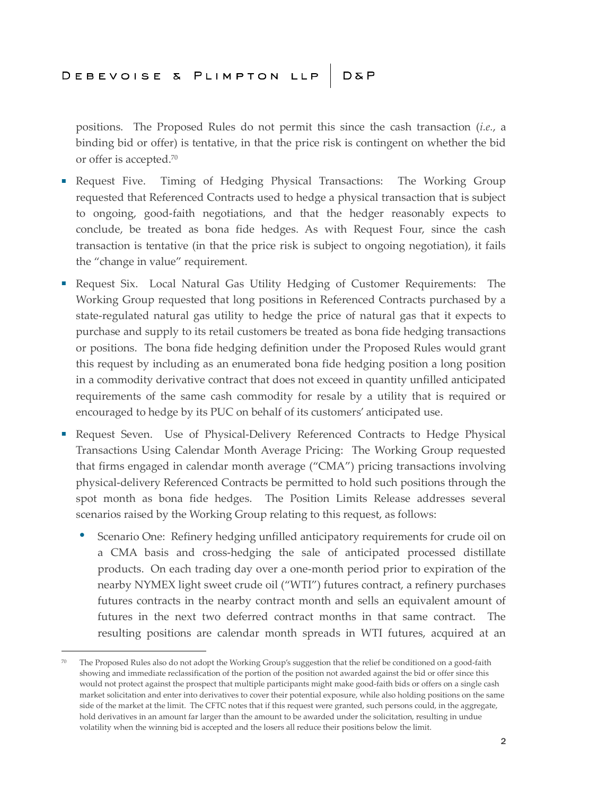positions. The Proposed Rules do not permit this since the cash transaction (*i.e.*, a binding bid or offer) is tentative, in that the price risk is contingent on whether the bid or offer is accepted.<sup>70</sup>

- Request Five. Timing of Hedging Physical Transactions: The Working Group requested that Referenced Contracts used to hedge a physical transaction that is subject to ongoing, good-faith negotiations, and that the hedger reasonably expects to conclude, be treated as bona fide hedges. As with Request Four, since the cash transaction is tentative (in that the price risk is subject to ongoing negotiation), it fails the "change in value" requirement.
- Request Six. Local Natural Gas Utility Hedging of Customer Requirements: The Working Group requested that long positions in Referenced Contracts purchased by a state-regulated natural gas utility to hedge the price of natural gas that it expects to purchase and supply to its retail customers be treated as bona fide hedging transactions or positions. The bona fide hedging definition under the Proposed Rules would grant this request by including as an enumerated bona fide hedging position a long position in a commodity derivative contract that does not exceed in quantity unfilled anticipated requirements of the same cash commodity for resale by a utility that is required or encouraged to hedge by its PUC on behalf of its customers' anticipated use.
- Request Seven. Use of Physical-Delivery Referenced Contracts to Hedge Physical Transactions Using Calendar Month Average Pricing: The Working Group requested that firms engaged in calendar month average ("CMA") pricing transactions involving physical-delivery Referenced Contracts be permitted to hold such positions through the spot month as bona fide hedges. The Position Limits Release addresses several scenarios raised by the Working Group relating to this request, as follows:
	- Scenario One: Refinery hedging unfilled anticipatory requirements for crude oil on a CMA basis and cross-hedging the sale of anticipated processed distillate products. On each trading day over a one-month period prior to expiration of the nearby NYMEX light sweet crude oil ("WTI") futures contract, a refinery purchases futures contracts in the nearby contract month and sells an equivalent amount of futures in the next two deferred contract months in that same contract. The resulting positions are calendar month spreads in WTI futures, acquired at an

<sup>&</sup>lt;sup>70</sup> The Proposed Rules also do not adopt the Working Group's suggestion that the relief be conditioned on a good-faith showing and immediate reclassification of the portion of the position not awarded against the bid or offer since this would not protect against the prospect that multiple participants might make good-faith bids or offers on a single cash market solicitation and enter into derivatives to cover their potential exposure, while also holding positions on the same side of the market at the limit. The CFTC notes that if this request were granted, such persons could, in the aggregate, hold derivatives in an amount far larger than the amount to be awarded under the solicitation, resulting in undue volatility when the winning bid is accepted and the losers all reduce their positions below the limit.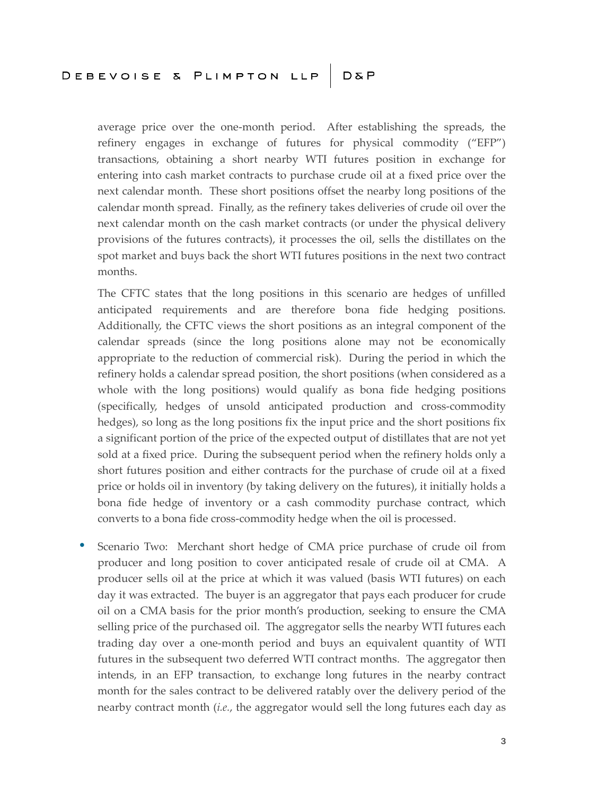average price over the one-month period. After establishing the spreads, the refinery engages in exchange of futures for physical commodity ("EFP") transactions, obtaining a short nearby WTI futures position in exchange for entering into cash market contracts to purchase crude oil at a fixed price over the next calendar month. These short positions offset the nearby long positions of the calendar month spread. Finally, as the refinery takes deliveries of crude oil over the next calendar month on the cash market contracts (or under the physical delivery provisions of the futures contracts), it processes the oil, sells the distillates on the spot market and buys back the short WTI futures positions in the next two contract months.

The CFTC states that the long positions in this scenario are hedges of unfilled anticipated requirements and are therefore bona fide hedging positions. Additionally, the CFTC views the short positions as an integral component of the calendar spreads (since the long positions alone may not be economically appropriate to the reduction of commercial risk). During the period in which the refinery holds a calendar spread position, the short positions (when considered as a whole with the long positions) would qualify as bona fide hedging positions (specifically, hedges of unsold anticipated production and cross-commodity hedges), so long as the long positions fix the input price and the short positions fix a significant portion of the price of the expected output of distillates that are not yet sold at a fixed price. During the subsequent period when the refinery holds only a short futures position and either contracts for the purchase of crude oil at a fixed price or holds oil in inventory (by taking delivery on the futures), it initially holds a bona fide hedge of inventory or a cash commodity purchase contract, which converts to a bona fide cross-commodity hedge when the oil is processed.

 Scenario Two: Merchant short hedge of CMA price purchase of crude oil from producer and long position to cover anticipated resale of crude oil at CMA. A producer sells oil at the price at which it was valued (basis WTI futures) on each day it was extracted. The buyer is an aggregator that pays each producer for crude oil on a CMA basis for the prior month's production, seeking to ensure the CMA selling price of the purchased oil. The aggregator sells the nearby WTI futures each trading day over a one-month period and buys an equivalent quantity of WTI futures in the subsequent two deferred WTI contract months. The aggregator then intends, in an EFP transaction, to exchange long futures in the nearby contract month for the sales contract to be delivered ratably over the delivery period of the nearby contract month (*i.e.*, the aggregator would sell the long futures each day as